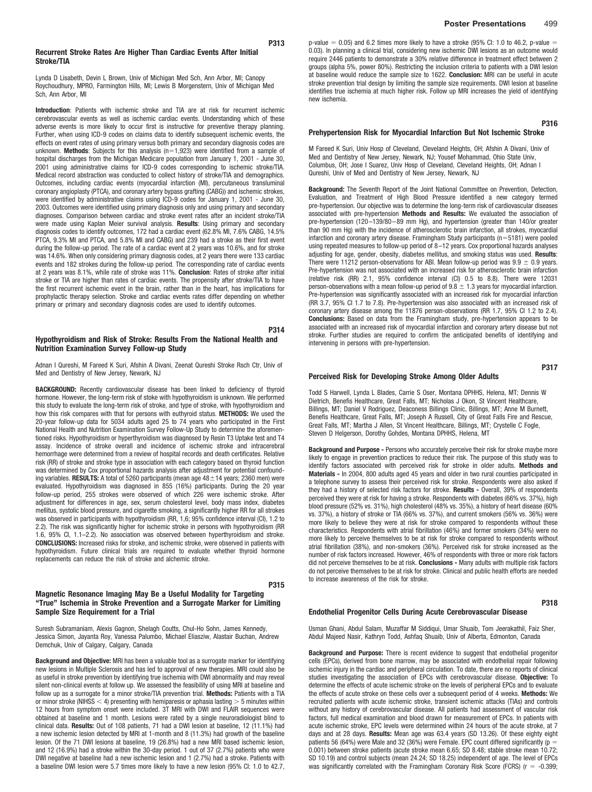### **Recurrent Stroke Rates Are Higher Than Cardiac Events After Initial Stroke/TIA**

Lynda D Lisabeth, Devin L Brown, Univ of Michigan Med Sch, Ann Arbor, MI; Canopy Roychoudhury, MPRO, Farmington Hills, MI; Lewis B Morgenstern, Univ of Michigan Med Sch, Ann Arbor, MI

**Introduction**: Patients with ischemic stroke and TIA are at risk for recurrent ischemic cerebrovascular events as well as ischemic cardiac events. Understanding which of these adverse events is more likely to occur first is instructive for preventive therapy planning. Further, when using ICD-9 codes on claims data to identify subsequent ischemic events, the effects on event rates of using primary versus both primary and secondary diagnosis codes are unknown. Methods: Subjects for this analysis (n=1,923) were identified from a sample of hospital discharges from the Michigan Medicare population from January 1, 2001 - June 30, 2001 using administrative claims for ICD-9 codes corresponding to ischemic stroke/TIA. Medical record abstraction was conducted to collect history of stroke/TIA and demographics. Outcomes, including cardiac events (myocardial infarction (MI), percutaneous transluminal coronary angioplasty (PTCA), and coronary artery bypass grafting (CABG)) and ischemic strokes, were identified by administrative claims using ICD-9 codes for January 1, 2001 - June 30, 2003. Outcomes were identified using primary diagnosis only and using primary and secondary diagnoses. Comparison between cardiac and stroke event rates after an incident stroke/TIA were made using Kaplan Meier survival analysis. **Results**: Using primary and secondary diagnosis codes to identify outcomes, 172 had a cardiac event (62.8% MI, 7.6% CABG, 14.5% PTCA, 9.3% MI and PTCA, and 5.8% MI and CABG) and 239 had a stroke as their first event during the follow-up period. The rate of a cardiac event at 2 years was 10.6%, and for stroke was 14.6%. When only considering primary diagnosis codes, at 2 years there were 133 cardiac events and 182 strokes during the follow-up period. The corresponding rate of cardiac events at 2 years was 8.1%, while rate of stroke was 11%. **Conclusion**: Rates of stroke after initial stroke or TIA are higher than rates of cardiac events. The propensity after stroke/TIA to have the first recurrent ischemic event in the brain, rather than in the heart, has implications for prophylactic therapy selection. Stroke and cardiac events rates differ depending on whether primary or primary and secondary diagnosis codes are used to identify outcomes.

## **Hypothyroidism and Risk of Stroke: Results From the National Health and Nutrition Examination Survey Follow-up Study**

Adnan I Qureshi, M Fareed K Suri, Afshin A Divani, Zeenat Qureshi Stroke Rsch Ctr, Univ of Med and Dentistry of New Jersey, Newark, NJ

**BACKGROUND:** Recently cardiovascular disease has been linked to deficiency of thyroid hormone. However, the long-term risk of stoke with hypothyroidism is unknown. We performed this study to evaluate the long-term risk of stroke, and type of stroke, with hypothyroidism and how this risk compares with that for persons with euthyroid status. **METHODS:** We used the 20-year follow-up data for 5034 adults aged 25 to 74 years who participated in the First National Health and Nutrition Examination Survey Follow-Up Study to determine the aforementioned risks. Hypothyroidism or hyperthyroidism was diagnosed by Resin T3 Uptake test and T4 assay. Incidence of stroke overall and incidence of ischemic stroke and intracerebral hemorrhage were determined from a review of hospital records and death certificates. Relative risk (RR) of stroke and stroke type in association with each category based on thyroid function was determined by Cox proportional hazards analysis after adjustment for potential confounding variables. **RESULTS:** A total of 5260 participants (mean age  $48 \pm 14$  years; 2360 men) were evaluated. Hypothyroidism was diagnosed in 855 (16%) participants. During the 20 year follow-up period, 255 strokes were observed of which 226 were ischemic stroke. After adjustment for differences in age, sex, serum cholesterol level, body mass index, diabetes mellitus, systolic blood pressure, and cigarette smoking, a significantly higher RR for all strokes was observed in participants with hypothyroidism (RR, 1,6; 95% confidence interval (Cl), 1.2 to 2.2). The risk was significantly higher for ischemic stroke in persons with hypothyroidism (RR 1.6, 95% CI, 1.1–2.2). No association was observed between hyperthyroidism and stroke. **CONCLUSIONS:** Increased risks for stroke, and ischemic stroke, were observed in patients with hypothyroidism. Future clinical trials are required to evaluate whether thyroid hormone replacements can reduce the risk of stroke and alchemic stroke.

## **P315 Magnetic Resonance Imaging May Be a Useful Modality for Targeting "True" Ischemia in Stroke Prevention and a Surrogate Marker for Limiting Sample Size Requirement for a Trial**

Suresh Subramaniam, Alexis Gagnon, Shelagh Coutts, Chul-Ho Sohn, James Kennedy, Jessica Simon, Jayanta Roy, Vanessa Palumbo, Michael Eliasziw, Alastair Buchan, Andrew Demchuk, Univ of Calgary, Calgary, Canada

**Background and Objective:** MRI has been a valuable tool as a surrogate marker for identifying new lesions in Multiple Sclerosis and has led to approval of new therapies. MRI could also be as useful in stroke prevention by identifying true ischemia with DWI abnormality and may reveal silent non-clinical events at follow up. We assessed the feasibility of using MRI at baseline and follow up as a surrogate for a minor stroke/TIA prevention trial. **Methods:** Patients with a TIA or minor stroke (NIHSS  $<$  4) presenting with hemiparesis or aphasia lasting  $>$  5 minutes within 12 hours from symptom onset were included. 3T MRI with DWI and FLAIR sequences were obtained at baseline and 1 month. Lesions were rated by a single neuroradiologist blind to clinical data. **Results:** Out of 108 patients, 71 had a DWI lesion at baseline, 12 (11.1%) had a new ischemic lesion detected by MRI at 1-month and 8 (11.3%) had growth of the baseline lesion. Of the 71 DWI lesions at baseline, 19 (26.8%) had a new MRI based ischemic lesion, and 12 (16.9%) had a stroke within the 30-day period. 1 out of 37 (2.7%) patients who were DWI negative at baseline had a new ischemic lesion and 1 (2.7%) had a stroke. Patients with a baseline DWI lesion were 5.7 times more likely to have a new lesion (95% CI: 1.0 to 42.7,

p-value  $=$  0.05) and 6.2 times more likely to have a stroke (95% Cl: 1.0 to 46.2, p-value  $=$  0.03). In planning a clinical trial, considering new ischemic DWI lesions as an outcome would require 2446 patients to demonstrate a 30% relative difference in treatment effect between 2 groups (alpha 5%, power 80%). Restricting the inclusion criteria to patients with a DWI lesion at baseline would reduce the sample size to 1622. **Conclusion:** MRI can be useful in acute stroke prevention trial design by limiting the sample size requirements. DWI lesion at baseline identifies true ischemia at much higher risk. Follow up MRI increases the yield of identifying new ischemia.

## **Prehypertension Risk for Myocardial Infarction But Not Ischemic Stroke**

M Fareed K Suri, Univ Hosp of Cleveland, Cleveland Heights, OH; Afshin A Divani, Univ of Med and Dentistry of New Jersey, Newark, NJ; Yousef Mohammad, Ohio State Univ, Columbus, OH; Jose I Suarez, Univ Hosp of Cleveland, Cleveland Heights, OH; Adnan I Qureshi, Univ of Med and Dentistry of New Jersey, Newark, NJ

**Background:** The Seventh Report of the Joint National Committee on Prevention, Detection, Evaluation, and Treatment of High Blood Pressure identified a new category termed pre-hypertension. Our objective was to determine the long-term risk of cardiovascular diseases associated with pre-hypertension **Methods and Results:** We evaluated the association of pre-hypertension (120–139/80–89 mm Hg), and hypertension (greater than 140/or greater than 90 mm Hg) with the incidence of atherosclerotic brain infarction, all strokes, myocardial infarction and coronary artery disease. Framingham Study participants (n=5181) were pooled using repeated measures to follow-up period of 8–12 years. Cox proportional hazards analyses adjusting for age, gender, obesity, diabetes mellitus, and smoking status was used. **Results**: There were 11212 person-observations for ABI. Mean follow-up period was  $9.9 \pm 0.9$  years. Pre-hypertension was not associated with an increased risk for atherosclerotic brain infarction (relative risk (RR) 2.1, 95% confidence interval (CI) 0.5 to 8.8). There were 12031 person-observations with a mean follow-up period of  $9.8 \pm 1.3$  years for myocardial infarction. Pre-hypertension was significantly associated with an increased risk for myocardial infarction (RR 3.7, 95% CI 1.7 to 7.8). Pre-hypertension was also associated with an increased risk of coronary artery disease among the 11876 person-observations (RR 1.7, 95% CI 1.2 to 2.4). **Conclusions:** Based on data from the Framingham study, pre-hypertension appears to be associated with an increased risk of myocardial infarction and coronary artery disease but not stroke. Further studies are required to confirm the anticipated benefits of identifying and intervening in persons with pre-hypertension.

**P317**

**P316**

#### **Perceived Risk for Developing Stroke Among Older Adults**

Todd S Harwell, Lynda L Blades, Carrie S Oser, Montana DPHHS, Helena, MT; Dennis W Dietrich, Benefis Healthcare, Great Falls, MT; Nicholas J Okon, St Vincent Healthcare, Billings, MT; Daniel V Rodriguez, Deaconess Billings Clinic, Billings, MT; Anne M Burnett, Benefis Healthcare, Great Falls, MT; Joseph A Russell, City of Great Falls Fire and Rescue, Great Falls, MT; Martha J Allen, St Vincent Healthcare, Billings, MT; Crystelle C Fogle, Steven D Helgerson, Dorothy Gohdes, Montana DPHHS, Helena, MT

**Background and Purpose -** Persons who accurately perceive their risk for stroke maybe more likely to engage in prevention practices to reduce their risk. The purpose of this study was to identify factors associated with perceived risk for stroke in older adults. **Methods and Materials -** In 2004, 800 adults aged 45 years and older in two rural counties participated in a telephone survey to assess their perceived risk for stroke. Respondents were also asked if they had a history of selected risk factors for stroke. **Results -** Overall, 39% of respondents perceived they were at risk for having a stroke. Respondents with diabetes (66% vs. 37%), high blood pressure (52% vs. 31%), high cholesterol (48% vs. 35%), a history of heart disease (60% vs. 37%), a history of stroke or TIA (66% vs. 37%), and current smokers (56% vs. 36%) were more likely to believe they were at risk for stroke compared to respondents without these characteristics. Respondents with atrial fibrillation (46%) and former smokers (34%) were no more likely to perceive themselves to be at risk for stroke compared to respondents without atrial fibrillation (38%), and non-smokers (36%). Perceived risk for stroke increased as the number of risk factors increased. However, 46% of respondents with three or more risk factors did not perceive themselves to be at risk. **Conclusions -** Many adults with multiple risk factors do not perceive themselves to be at risk for stroke. Clinical and public health efforts are needed to increase awareness of the risk for stroke.

### **P318**

#### **Endothelial Progenitor Cells During Acute Cerebrovascular Disease**

Usman Ghani, Abdul Salam, Muzaffar M Siddiqui, Umar Shuaib, Tom Jeerakathil, Faiz Sher, Abdul Majeed Nasir, Kathryn Todd, Ashfaq Shuaib, Univ of Alberta, Edmonton, Canada

**Background and Purpose:** There is recent evidence to suggest that endothelial progenitor cells (EPCs), derived from bone marrow, may be associated with endothelial repair following ischemic injury in the cardiac and peripheral circulation. To date, there are no reports of clinical studies investigating the association of EPCs with cerebrovascular disease. **Objective:** To determine the effects of acute ischemic stroke on the levels of peripheral EPCs and to evaluate the effects of acute stroke on these cells over a subsequent period of 4 weeks. **Methods:** We recruited patients with acute ischemic stroke, transient ischemic attacks (TIAs) and controls without any history of cerebrovascular disease. All patients had assessment of vascular risk factors, full medical examination and blood drawn for measurement of EPCs. In patients with acute ischemic stroke, EPC levels were determined within 24 hours of the acute stroke, at 7 days and at 28 days. **Results:** Mean age was 63.4 years (SD 13.26). Of these eighty eight patients 56 (64%) were Male and 32 (36%) were Female. EPC count differed significantly (p  $=$ 0.001) between stroke patients (acute stroke mean 6.65; SD 8.48; stable stroke mean 10.72; SD 10.19) and control subjects (mean 24.24; SD 18.25) independent of age. The level of EPCs was significantly correlated with the Framingham Coronary Risk Score (FCRS) ( $r = -0.399$ ;

## **P313**

**P314**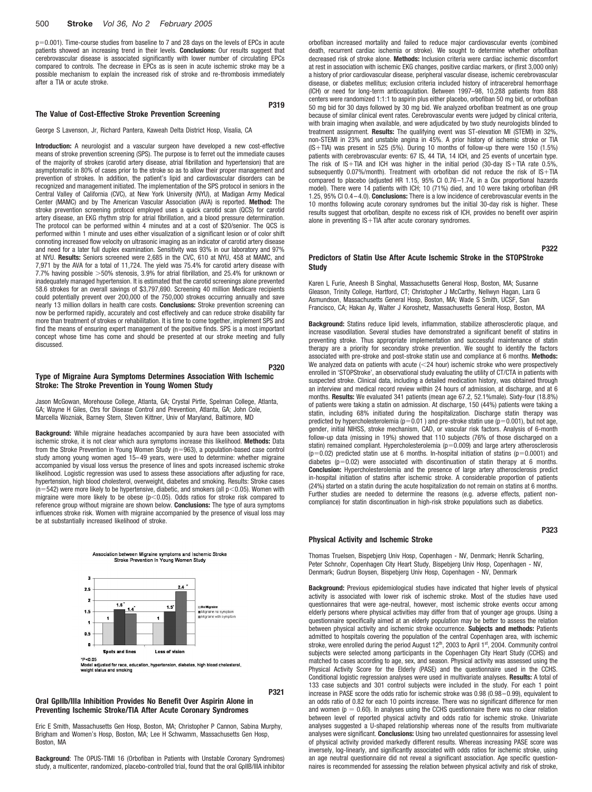## 500 **Stroke** *Vol 36, No 2 February 2005*

p-0.001). Time-course studies from baseline to 7 and 28 days on the levels of EPCs in acute patients showed an increasing trend in their levels. **Conclusions:** Our results suggest that cerebrovascular disease is associated significantly with lower number of circulating EPCs compared to controls. The decrease in EPCs as is seen in acute ischemic stroke may be a possible mechanism to explain the increased risk of stroke and re-thrombosis immediately after a TIA or acute stroke.

#### **The Value of Cost-Effective Stroke Prevention Screening**

#### George S Lavenson, Jr, Richard Pantera, Kaweah Delta District Hosp, Visalia, CA

**Introduction:** A neurologist and a vascular surgeon have developed a new cost-effective means of stroke prevention screening (SPS). The purpose is to ferret out the immediate causes of the majority of strokes (carotid artery disease, atrial fibrillation and hypertension) that are asymptomatic in 80% of cases prior to the stroke so as to allow their proper management and prevention of strokes. In addition, the patient's lipid and cardiovascular disorders can be recognized and management initiated. The implementation of the SPS protocol in seniors in the Central Valley of California (CVC), at New York University (NYU), at Madigan Army Medical Center (MAMC) and by The American Vascular Association (AVA) is reported. **Method:** The stroke prevention screening protocol employed uses a quick carotid scan (QCS) for carotid artery disease, an EKG rhythm strip for atrial fibrillation, and a blood pressure determination. The protocol can be performed within 4 minutes and at a cost of \$20/senior. The QCS is performed within 1 minute and uses either visualization of a significant lesion or of color shift connoting increased flow velocity on ultrasonic imaging as an indicator of carotid artery disease and need for a later full duplex examination. Sensitivity was 93% in our laboratory and 97% at NYU. **Results:** Seniors screened were 2,685 in the CVC, 610 at NYU, 458 at MAMC, and 7,971 by the AVA for a total of 11,724. The yield was 75.4% for carotid artery disease with 7.7% having possible  $>$  50% stenosis, 3.9% for atrial fibrillation, and 25.4% for unknown or inadequately managed hypertension. It is estimated that the carotid screenings alone prevented 58.6 strokes for an overall savings of \$3,797,690. Screening 40 million Medicare recipients could potentially prevent over 200,000 of the 750,000 strokes occurring annually and save nearly 13 million dollars in health care costs. **Conclusions:** Stroke prevention screening can now be performed rapidly, accurately and cost effectively and can reduce stroke disability far more than treatment of strokes or rehabilitation. It is time to come together, implement SPS and find the means of ensuring expert management of the positive finds. SPS is a most important concept whose time has come and should be presented at our stroke meeting and fully discussed.

## **Type of Migraine Aura Symptoms Determines Association With Ischemic Stroke: The Stroke Prevention in Young Women Study**

Jason McGowan, Morehouse College, Atlanta, GA; Crystal Pirtle, Spelman College, Atlanta, GA; Wayne H Giles, Ctrs for Disease Control and Prevention, Atlanta, GA; John Cole, Marcella Wozniak, Barney Stern, Steven Kittner, Univ of Maryland, Baltimore, MD

**Background:** While migraine headaches accompanied by aura have been associated with ischemic stroke, it is not clear which aura symptoms increase this likelihood. **Methods:** Data from the Stroke Prevention in Young Women Study (n-963), a population-based case control study among young women aged 15–49 years, were used to determine: whether migraine accompanied by visual loss versus the presence of lines and spots increased ischemic stroke likelihood. Logistic regression was used to assess these associations after adjusting for race, hypertension, high blood cholesterol, overweight, diabetes and smoking. Results: Stroke cases (n=542) were more likely to be hypertensive, diabetic, and smokers (all p<0.05). Women with migraine were more likely to be obese ( $p<0.05$ ). Odds ratios for stroke risk compared to reference group without migraine are shown below. **Conclusions:** The type of aura symptoms influences stroke risk. Women with migraine accompanied by the presence of visual loss may be at substantially increased likelihood of stroke.



Association between Migraine symptoms and Ischemic Stroke Stroke Prevention In Young Women Study

odel adjusted for race, education, hypertension, diabetes, high blood cholesterol,<br>eight status and smoking

**P321**

**P319**

**P320**

## **Oral GpIIb/IIIa Inhibition Provides No Benefit Over Aspirin Alone in Preventing Ischemic Stroke/TIA After Acute Coronary Syndromes**

Eric E Smith, Massachusetts Gen Hosp, Boston, MA; Christopher P Cannon, Sabina Murphy, Brigham and Women's Hosp, Boston, MA; Lee H Schwamm, Massachusetts Gen Hosp, Boston, MA

**Background**: The OPUS-TIMI 16 (Orbofiban in Patients with Unstable Coronary Syndromes) study, a multicenter, randomized, placebo-controlled trial, found that the oral GpIIB/IIIA inhibitor orbofiban increased mortality and failed to reduce major cardiovascular events (combined death, recurrent cardiac ischemia or stroke). We sought to determine whether orbofiban decreased risk of stroke alone. **Methods:** Inclusion criteria were cardiac ischemic discomfort at rest in association with ischemic EKG changes, positive cardiac markers, or (first 3,000 only) a history of prior cardiovascular disease, peripheral vascular disease, ischemic cerebrovascular disease, or diabetes mellitus; exclusion criteria included history of intracerebral hemorrhage (ICH) or need for long-term anticoagulation. Between 1997–98, 10,288 patients from 888 centers were randomized 1:1:1 to aspirin plus either placebo, orbofiban 50 mg bid, or orbofiban 50 mg bid for 30 days followed by 30 mg bid. We analyzed orbofiban treatment as one group because of similar clinical event rates. Cerebrovascular events were judged by clinical criteria, with brain imaging when available, and were adjudicated by two study neurologists blinded to treatment assignment. **Results:** The qualifying event was ST-elevation MI (STEMI) in 32%, non-STEMI in 23% and unstable angina in 45%. A prior history of ischemic stroke or TIA  $(IS+TIA)$  was present in 525 (5%). During 10 months of follow-up there were 150 (1.5%) patients with cerebrovascular events: 67 IS, 44 TIA, 14 ICH, and 25 events of uncertain type. The risk of  $IS+TIA$  and ICH was higher in the initial period (30-day  $IS+TIA$  rate 0.5%, subsequently 0.07%/month). Treatment with orbofiban did not reduce the risk of  $S+TA$ compared to placebo (adjusted HR 1.15, 95% CI 0.76–1.74, in a Cox proportional hazards model). There were 14 patients with ICH; 10 (71%) died, and 10 were taking orbofiban (HR 1.25, 95% CI 0.4–4.0). **Conclusions:** There is a low incidence of cerebrovascular events in the 10 months following acute coronary syndromes but the initial 30-day risk is higher. These results suggest that orbofiban, despite no excess risk of ICH, provides no benefit over aspirin alone in preventing  $IS+TIA$  after acute coronary syndromes.

**P322**

### **Predictors of Statin Use After Acute Ischemic Stroke in the STOPStroke Study**

Karen L Furie, Aneesh B Singhal, Massachusetts General Hosp, Boston, MA; Susanne Gleason, Trinity College, Hartford, CT; Christopher J McCarthy, Nellwyn Hagan, Lara G Asmundson, Massachusetts General Hosp, Boston, MA; Wade S Smith, UCSF, San Francisco, CA; Hakan Ay, Walter J Koroshetz, Massachusetts General Hosp, Boston, MA

**Background:** Statins reduce lipid levels, inflammation, stabilize atherosclerotic plaque, and increase vasodilation. Several studies have demonstrated a significant benefit of statins in preventing stroke. Thus appropriate implementation and successful maintenance of statin therapy are a priority for secondary stroke prevention. We sought to identify the factors associated with pre-stroke and post-stroke statin use and compliance at 6 months. **Methods:** We analyzed data on patients with acute  $(<$  24 hour) ischemic stroke who were prospectively enrolled in 'STOPStroke', an observational study evaluating the utility of CT/CTA in patients with suspected stroke. Clinical data, including a detailed medication history, was obtained through an interview and medical record review within 24 hours of admission, at discharge, and at 6 months. **Results:** We evaluated 341 patients (mean age 67.2, 52.1%male). Sixty-four (18.8%) of patients were taking a statin on admission. At discharge, 150 (44%) patients were taking a statin, including 68% initiated during the hospitalization. Discharge statin therapy was predicted by hypercholesterolemia ( $p=0.01$  ) and pre-stroke statin use ( $p=0.001$ ), but not age, gender, initial NIHSS, stroke mechanism, CAD, or vascular risk factors. Analysis of 6-month follow-up data (missing in 19%) showed that 110 subjects (76% of those discharged on a statin) remained compliant. Hypercholesterolemia (p=0.009) and large artery atherosclerosis  $(p=0.02)$  predicted statin use at 6 months. In-hospital initiation of statins  $(p=0.0001)$  and diabetes ( $p=0.02$ ) were associated with discontinuation of statin therapy at 6 months. **Conclusion:** Hypercholesterolemia and the presence of large artery atherosclerosis predict in-hospital initiation of statins after ischemic stroke. A considerable proportion of patients (24%) started on a statin during the acute hospitalization do not remain on statins at 6 months. Further studies are needed to determine the reasons (e.g. adverse effects, patient noncompliance) for statin discontinuation in high-risk stroke populations such as diabetics.

#### **Physical Activity and Ischemic Stroke**

**P323**

Thomas Truelsen, Bispebjerg Univ Hosp, Copenhagen - NV, Denmark; Henrik Scharling, Peter Schnohr, Copenhagen City Heart Study, Bispebjerg Univ Hosp, Copenhagen - NV, Denmark; Gudrun Boysen, Bispebjerg Univ Hosp, Copenhagen - NV, Denmark

**Background:** Previous epidemiological studies have indicated that higher levels of physical activity is associated with lower risk of ischemic stroke. Most of the studies have used questionnaires that were age-neutral, however, most ischemic stroke events occur among elderly persons where physical activities may differ from that of younger age groups. Using a questionnaire specifically aimed at an elderly population may be better to assess the relation between physical activity and ischemic stroke occurrence. **Subjects and methods:** Patients admitted to hospitals covering the population of the central Copenhagen area, with ischemic stroke, were enrolled during the period August 12<sup>th</sup>, 2003 to April 1<sup>st</sup>, 2004. Community control subjects were selected among participants in the Copenhagen City Heart Study (CCHS) and matched to cases according to age, sex, and season. Physical activity was assessed using the Physical Activity Score for the Elderly (PASE) and the questionnaire used in the CCHS. Conditional logistic regression analyses were used in multivariate analyses. **Results:** A total of 133 case subjects and 301 control subjects were included in the study. For each 1 point increase in PASE score the odds ratio for ischemic stroke was 0.98 (0.98–0.99), equivalent to an odds ratio of 0.82 for each 10 points increase. There was no significant difference for men and women ( $p = 0.60$ ). In analyses using the CCHS questionnaire there was no clear relation between level of reported physical activity and odds ratio for ischemic stroke. Univariate analyses suggested a U-shaped relationship whereas none of the results from multivariate analyses were significant. **Conclusions:** Using two unrelated questionnaires for assessing level of physical activity provided markedly different results. Whereas increasing PASE score was inversely, log-linearly, and significantly associated with odds ratios for ischemic stroke, using an age neutral questionnaire did not reveal a significant association. Age specific questionnaires is recommended for assessing the relation between physical activity and risk of stroke,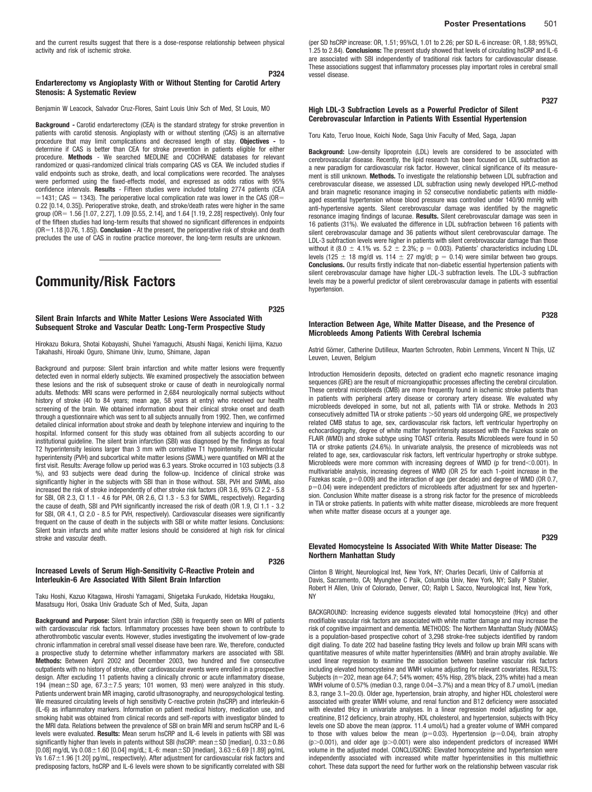## **P324 Endarterectomy vs Angioplasty With or Without Stenting for Carotid Artery Stenosis: A Systematic Review**

Benjamin W Leacock, Salvador Cruz-Flores, Saint Louis Univ Sch of Med, St Louis, MO

**Background** *-* Carotid endarterectomy (CEA) is the standard strategy for stroke prevention in patients with carotid stenosis. Angioplasty with or without stenting (CAS) is an alternative procedure that may limit complications and decreased length of stay. **Objectives -** to determine if CAS is better than CEA for stroke prevention in patients eligible for either procedure. **Methods** *-* We searched MEDLINE and COCHRANE databases for relevant randomized or quasi-randomized clinical trials comparing CAS vs CEA. We included studies if valid endpoints such as stroke, death, and local complications were recorded. The analyses were performed using the fixed-effects model, and expressed as odds ratios with 95% confidence intervals. **Results** *-* Fifteen studies were included totaling 2774 patients (CEA  $=$  1431; CAS = 1343). The perioperative local complication rate was lower in the CAS (OR= 0.22 [0.14, 0.35]). Perioperative stroke, death, and stroke/death rates were higher in the same group (OR = 1.56 [1.07, 2.27], 1.09 [0.55, 2.14], and 1.64 [1.19, 2.28] respectively). Only four of the fifteen studies had long-term results that showed no significant differences in endpoints (OR-1.18 [0.76, 1.85]). **Conclusion** *-* At the present, the perioperative risk of stroke and death precludes the use of CAS in routine practice moreover, the long-term results are unknown.

# **Community/Risk Factors**

## **Silent Brain Infarcts and White Matter Lesions Were Associated With Subsequent Stroke and Vascular Death: Long-Term Prospective Study**

**P325**

**P326**

Hirokazu Bokura, Shotai Kobayashi, Shuhei Yamaguchi, Atsushi Nagai, Kenichi Iijima, Kazuo Takahashi, Hiroaki Oguro, Shimane Univ, Izumo, Shimane, Japan

Background and purpose: Silent brain infarction and white matter lesions were frequently detected even in normal elderly subjects. We examined prospectively the association between these lesions and the risk of subsequent stroke or cause of death in neurologically normal adults. Methods: MRI scans were performed in 2,684 neurologically normal subjects without history of stroke (40 to 84 years; mean age, 58 years at entry) who received our health screening of the brain. We obtained information about their clinical stroke onset and death through a questionnaire which was sent to all subjects annually from 1992. Then, we confirmed detailed clinical information about stroke and death by telephone interview and inquiring to the hospital. Informed consent for this study was obtained from all subjects according to our institutional guideline. The silent brain infarction (SBI) was diagnosed by the findings as focal T2 hyperintensity lesions larger than 3 mm with correlative T1 hypointensity. Periventricular hyperintensity (PVH) and subcortical white matter lesions (SWML) were quantified on MRI at the first visit. Results: Average follow up period was 6.3 years. Stroke occurred in 103 subjects (3.8 %), and 93 subjects were dead during the follow-up. Incidence of clinical stroke was significantly higher in the subjects with SBI than in those without. SBI, PVH and SWML also increased the risk of stroke independently of other stroke risk factors (OR 3.6, 95% CI 2.2 - 5.8 for SBI, OR 2.3, CI 1.1 - 4.6 for PVH, OR 2.6, CI 1.3 - 5.3 for SWML, respectively). Regarding the cause of death, SBI and PVH significantly increased the risk of death (OR 1.9, CI 1.1 - 3.2 for SBI, OR 4.1, CI 2.0 - 8.5 for PVH, respectively). Cardiovascular diseases were significantly frequent on the cause of death in the subjects with SBI or white matter lesions. Conclusions: Silent brain infarcts and white matter lesions should be considered at high risk for clinical stroke and vascular death.

## **Increased Levels of Serum High-Sensitivity C-Reactive Protein and Interleukin-6 Are Associated With Silent Brain Infarction**

Taku Hoshi, Kazuo Kitagawa, Hiroshi Yamagami, Shigetaka Furukado, Hidetaka Hougaku, Masatsugu Hori, Osaka Univ Graduate Sch of Med, Suita, Japan

**Background and Purpose:** Silent brain infarction (SBI) is frequently seen on MRI of patients with cardiovascular risk factors. Inflammatory processes have been shown to contribute to atherothrombotic vascular events. However, studies investigating the involvement of low-grade chronic inflammation in cerebral small vessel disease have been rare. We, therefore, conducted a prospective study to determine whether inflammatory markers are associated with SBI. **Methods:** Between April 2002 and December 2003, two hundred and five consecutive outpatients with no history of stroke, other cardiovascular events were enrolled in a prospective design. After excluding 11 patients having a clinically chronic or acute inflammatory disease, 194 (mean $\pm$ SD age, 67.3 $\pm$ 7.5 years; 101 women, 93 men) were analyzed in this study. Patients underwent brain MR imaging, carotid ultrasonography, and neuropsychological testing. We measured circulating levels of high sensitivity C-reactive protein (hsCRP) and interleukin-6 (IL-6) as inflammatory markers. Information on patient medical history, medication use, and smoking habit was obtained from clinical records and self-reports with investigator blinded to the MRI data. Relations between the prevalence of SBI on brain MRI and serum hsCRP and IL-6 levels were evaluated. **Results:** Mean serum hsCRP and IL-6 levels in patients with SBI was significantly higher than levels in patents without SBI (hsCRP: mean $\pm$ SD [median], 0.33 $\pm$ 0.86  $[0.08]$  mg/dL Vs  $0.08\pm1.60$   $[0.04]$  mg/dL; IL-6: mean $\pm$ SD [median],  $3.63\pm6.69$  [1.89] pg/mL Vs  $1.67 \pm 1.96$  [1.20] pg/mL, respectively). After adjustment for cardiovascular risk factors and predisposing factors, hsCRP and IL-6 levels were shown to be significantly correlated with SBI (per SD hsCRP increase: OR, 1.51; 95%CI, 1.01 to 2.26; per SD IL-6 increase: OR, 1.88; 95%CI, 1.25 to 2.84). **Conclusions:** The present study showed that levels of circulating hsCRP and IL-6 are associated with SBI independently of traditional risk factors for cardiovascular disease. These associations suggest that inflammatory processes play important roles in cerebral small vessel disease.

**P327**

### **High LDL-3 Subfraction Levels as a Powerful Predictor of Silent Cerebrovascular Infarction in Patients With Essential Hypertension**

Toru Kato, Teruo Inoue, Koichi Node, Saga Univ Faculty of Med, Saga, Japan

**Background:** Low-density lipoprotein (LDL) levels are considered to be associated with cerebrovascular disease. Recently, the lipid research has been focused on LDL subfraction as a new paradigm for cardiovascular risk factor. However, clinical significance of its measurement is still unknown. **Methods.** To investigate the relationship between LDL subfraction and cerebrovascular disease, we assessed LDL subfraction using newly developed HPLC-method and brain magnetic resonance imaging in 52 consecutive nondiabetic patients with middleaged essential hypertension whose blood pressure was controlled under 140/90 mmHg with anti-hypertensive agents. Silent cerebrovascular damage was identified by the magnetic resonance imaging findings of lacunae. **Results.** Silent cerebrovascular damage was seen in 16 patients (31%). We evaluated the difference in LDL subfraction between 16 patients with silent cerebrovascular damage and 36 patients without silent cerebrovascular damage. The LDL-3 subfraction levels were higher in patients with silent cerebrovascular damage than those without it (8.0  $\pm$  4.1% vs. 5.2  $\pm$  2.3%; p = 0.003). Patients' characteristics including LDL levels (125  $\pm$  18 mg/dl vs. 114  $\pm$  27 mg/dl; p = 0.14) were similar between two groups. **Conclusions.** Our results firstly indicate that non-diabetic essential hypertension patients with silent cerebrovascular damage have higher LDL-3 subfraction levels. The LDL-3 subfraction levels may be a powerful predictor of silent cerebrovascular damage in patients with essential hypertension.

**P328**

## **Interaction Between Age, White Matter Disease, and the Presence of Microbleeds Among Patients With Cerebral Ischemia**

Astrid Görner, Catherine Dutilleux, Maarten Schrooten, Robin Lemmens, Vincent N Thiis, UZ Leuven, Leuven, Belgium

Introduction Hemosiderin deposits, detected on gradient echo magnetic resonance imaging sequences (GRE) are the result of microangiopathic processes affecting the cerebral circulation. These cerebral microbleeds (CMB) are more frequently found in ischemic stroke patients than in patients with peripheral artery disease or coronary artery disease. We evaluated why microbleeds developed in some, but not all, patients with TIA or stroke. Methods In 203 consecutively admitted TIA or stroke patients > 50 years old undergoing GRE, we prospectively related CMB status to age, sex, cardiovascular risk factors, left ventricular hypertrophy on echocardiography, degree of white matter hyperintensity assessed with the Fazekas scale on FLAIR (WMD) and stroke subtype using TOAST criteria. Results Microbleeds were found in 50 TIA or stroke patients (24.6%). In univariate analysis, the presence of microbleeds was not related to age, sex, cardiovascular risk factors, left ventricular hypertrophy or stroke subtype. Microbleeds were more common with increasing degrees of WMD (p for trend<0.001). In multivariable analysis, increasing degrees of WMD (OR 25 for each 1-point increase in the Fazekas scale,  $p=0.009$ ) and the interaction of age (per decade) and degree of WMD (OR 0.7, p-0.04) were independent predictors of microbleeds after adjustment for sex and hypertension. Conclusion White matter disease is a strong risk factor for the presence of microbleeds in TIA or stroke patients. In patients with white matter disease, microbleeds are more frequent when white matter disease occurs at a younger age.

**P329**

## **Elevated Homocysteine Is Associated With White Matter Disease: The Northern Manhattan Study**

Clinton B Wright, Neurological Inst, New York, NY; Charles Decarli, Univ of California at Davis, Sacramento, CA; Myunghee C Paik, Columbia Univ, New York, NY; Sally P Stabler, Robert H Allen, Univ of Colorado, Denver, CO; Ralph L Sacco, Neurological Inst, New York, NY

BACKGROUND: Increasing evidence suggests elevated total homocysteine (tHcy) and other modifiable vascular risk factors are associated with white matter damage and may increase the risk of cognitive impairment and dementia. METHODS: The Northern Manhattan Study (NOMAS) is a population-based prospective cohort of 3,298 stroke-free subjects identified by random digit dialing. To date 202 had baseline fasting tHcy levels and follow up brain MRI scans with quantitative measures of white matter hyperintensities (WMH) and brain atrophy available. We used linear regression to examine the association between baseline vascular risk factors including elevated homocysteine and WMH volume adjusting for relevant covariates. RESULTS: Subjects (n-202, mean age 64.7; 54% women; 45% Hisp, 28% black, 23% white) had a mean WMH volume of 0.57% (median 0.3, range 0.04–3.7%) and a mean tHcy of 8.7 umol/L (median 8.3, range 3.1–20.0). Older age, hypertension, brain atrophy, and higher HDL cholesterol were associated with greater WMH volume, and renal function and B12 deficiency were associated with elevated tHcy in univariate analyses. In a linear regression model adjusting for age, creatinine, B12 deficiency, brain atrophy, HDL cholesterol, and hypertension, subjects with tHcy levels one SD above the mean (approx. 11.4 umol/L) had a greater volume of WMH compared to those with values below the mean  $(p=0.03)$ . Hypertension  $(p=0.04)$ , brain atrophy  $(p>0.001)$ , and older age  $(p>0.001)$  were also independent predictors of increased WMH volume in the adjusted model. CONCLUSIONS: Elevated homocysteine and hypertension were independently associated with increased white matter hyperintensities in this multiethnic cohort. These data support the need for further work on the relationship between vascular risk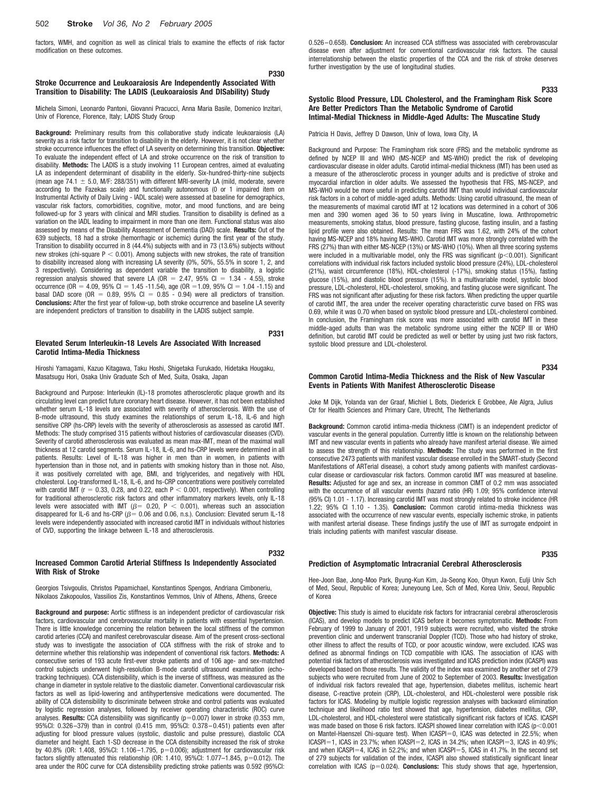factors, WMH, and cognition as well as clinical trials to examine the effects of risk factor modification on these outcomes.

## **P330 Stroke Occurrence and Leukoaraiosis Are Independently Associated With Transition to Disability: The LADIS (Leukoaraiosis And DISability) Study**

Michela Simoni, Leonardo Pantoni, Giovanni Pracucci, Anna Maria Basile, Domenico Inzitari, Univ of Florence, Florence, Italy; LADIS Study Group

**Background:** Preliminary results from this collaborative study indicate leukoaraiosis (LA) severity as a risk factor for transition to disability in the elderly. However, it is not clear whether stroke occurrence influences the effect of LA severity on determining this transition. **Objective:** To evaluate the independent effect of LA and stroke occurrence on the risk of transition to disability. **Methods:** The LADIS is a study involving 11 European centres, aimed at evaluating LA as independent determinant of disability in the elderly. Six-hundred-thirty-nine subjects (mean age 74.1  $\pm$  5.0, M/F: 288/351) with different MRI-severity LA (mild, moderate, severe according to the Fazekas scale) and functionally autonomous (0 or 1 impaired item on Instrumental Activity of Daily Living - IADL scale) were assessed at baseline for demographics, vascular risk factors, comorbidities, cognitive, motor, and mood functions, and are being followed-up for 3 years with clinical and MRI studies. Transition to disability is defined as a variation on the IADL leading to impairment in more than one item. Functional status was also assessed by means of the Disability Assessment of Dementia (DAD) scale. **Results:** Out of the 639 subjects, 18 had a stroke (hemorrhagic or ischemic) during the first year of the study. Transition to disability occurred in 8 (44.4%) subjects with and in 73 (13.6%) subjects without new strokes (chi-square  $P < 0.001$ ). Among subjects with new strokes, the rate of transition to disability increased along with increasing LA severity (0%, 50%, 55.5% in score 1, 2, and 3 respectively). Considering as dependent variable the transition to disability, a logistic regression analysis showed that severe LA (OR  $=$  2.47, 95% Cl  $=$  1.34 - 4.55), stroke occurrence (OR = 4.09, 95% Cl = 1.45 -11.54), age (OR = 1.09, 95% Cl = 1.04 -1.15) and basal DAD score (OR  $=$  0.89, 95% CI  $=$  0.85 - 0.94) were all predictors of transition. **Conclusions:** After the first year of follow-up, both stroke occurrence and baseline LA severity are independent predictors of transition to disability in the LADIS subject sample.

## **Elevated Serum Interleukin-18 Levels Are Associated With Increased Carotid Intima-Media Thickness**

**P331**

**P332**

Hiroshi Yamagami, Kazuo Kitagawa, Taku Hoshi, Shigetaka Furukado, Hidetaka Hougaku, Masatsugu Hori, Osaka Univ Graduate Sch of Med, Suita, Osaka, Japan

Background and Purpose: Interleukin (IL)-18 promotes atherosclerotic plaque growth and its circulating level can predict future coronary heart disease. However, it has not been established whether serum IL-18 levels are associated with severity of atherosclerosis. With the use of B-mode ultrasound, this study examines the relationships of serum IL-18, IL-6 and high sensitive CRP (hs-CRP) levels with the severity of atherosclerosis as assessed as carotid IMT. Methods: The study comprised 315 patients without histories of cardiovascular diseases (CVD). Severity of carotid atherosclerosis was evaluated as mean max-IMT, mean of the maximal wall thickness at 12 carotid segments. Serum IL-18, IL-6, and hs-CRP levels were determined in all patients. Results: Level of IL-18 was higher in men than in women, in patients with hypertension than in those not, and in patients with smoking history than in those not. Also, it was positively correlated with age, BMI, and triglycerides, and negatively with HDL cholesterol. Log-transformed IL-18, IL-6, and hs-CRP concentrations were positively correlated with carotid IMT ( $r = 0.33$ , 0.28, and 0.22, each  $P < 0.001$ , respectively). When controlling for traditional atherosclerotic risk factors and other inflammatory markers levels, only IL-18 levels were associated with IMT ( $\beta$  = 0.20, P < 0.001), whereas such an association disappeared for IL-6 and hs-CRP ( $\beta$  = 0.06 and 0.06, n.s.). Conclusion: Elevated serum IL-18 levels were independently associated with increased carotid IMT in individuals without histories of CVD, supporting the linkage between IL-18 and atherosclerosis.

## **Increased Common Carotid Arterial Stiffness Is Independently Associated With Risk of Stroke**

Georgios Tsivgoulis, Christos Papamichael, Konstantinos Spengos, Andriana Cimboneriu, Nikolaos Zakopoulos, Vassilios Zis, Konstantinos Vemmos, Univ of Athens, Athens, Greece

**Background and purpose:** Aortic stiffness is an independent predictor of cardiovascular risk factors, cardiovascular and cerebrovascular mortality in patients with essential hypertension. There is little knowledge concerning the relation between the local stiffness of the common carotid arteries (CCA) and manifest cerebrovascular disease. Aim of the present cross-sectional study was to investigate the association of CCA stiffness with the risk of stroke and to determine whether this relationship was independent of conventional risk factors. **Methods:** A consecutive series of 193 acute first-ever stroke patients and of 106 age- and sex-matched control subjects underwent high-resolution B-mode carotid ultrasound examination (echotracking techniques). CCA distensibility, which is the inverse of stiffness, was measured as the change in diameter in systole relative to the diastolic diameter. Conventional cardiovascular risk factors as well as lipid-lowering and antihypertensive medications were documented. The ability of CCA distensibility to discriminate between stroke and control patients was evaluated by logistic regression analyses, followed by receiver operating characteristic (ROC) curve analyses. Results: CCA distensibility was significantly (p=0.007) lower in stroke (0.353 mm, 95%CI: 0.326–379) than in control (0.415 mm, 95%CI: 0.378–0.451) patients even after adjusting for blood pressure values (systolic, diastolic and pulse pressure), diastolic CCA diameter and height. Each 1-SD decrease in the CCA distensibilty increased the risk of stroke by 40.8% (OR: 1.408, 95%CI: 1.106–1.795, p-0.006); adjustment for cardiovascular risk factors slightly attenuated this relationship (OR: 1.410, 95%Cl: 1.077-1.845, p=0.012). The area under the ROC curve for CCA distensibility predicting stroke patients was 0.592 (95%CI: 0.526–0.658). **Conclusion:** An increased CCA stiffness was associated with cerebrovascular disease even after adjustment for conventional cardiovascular risk factors. The causal interrelationship between the elastic properties of the CCA and the risk of stroke deserves further investigation by the use of longitudinal studies.

## **P333 Systolic Blood Pressure, LDL Cholesterol, and the Framingham Risk Score Are Better Predictors Than the Metabolic Syndrome of Carotid Intimal-Medial Thickness in Middle-Aged Adults: The Muscatine Study**

Patricia H Davis, Jeffrey D Dawson, Univ of Iowa, Iowa City, IA

Background and Purpose: The Framingham risk score (FRS) and the metabolic syndrome as defined by NCEP III and WHO (MS-NCEP and MS-WHO) predict the risk of developing cardiovascular disease in older adults. Carotid intimal-medial thickness (IMT) has been used as a measure of the atherosclerotic process in younger adults and is predictive of stroke and myocardial infarction in older adults. We assessed the hypothesis that FRS, MS-NCEP, and MS-WHO would be more useful in predicting carotid IMT than would individual cardiovascular risk factors in a cohort of middle-aged adults. Methods: Using carotid ultrasound, the mean of the measurements of maximal carotid IMT at 12 locations was determined in a cohort of 306 men and 390 women aged 36 to 50 years living in Muscatine, Iowa. Anthropometric measurements, smoking status, blood pressure, fasting glucose, fasting insulin, and a fasting lipid profile were also obtained. Results: The mean FRS was 1.62, with 24% of the cohort having MS-NCEP and 18% having MS-WHO. Carotid IMT was more strongly correlated with the FRS (27%) than with either MS-NCEP (13%) or MS-WHO (10%). When all three scoring systems were included in a multivariable model, only the FRS was significant ( $p<0.001$ ). Significant correlations with individual risk factors included systolic blood pressure (24%), LDL-cholesterol (21%), waist circumference (18%), HDL-cholesterol (-17%), smoking status (15%), fasting glucose (15%), and diastolic blood pressure (15%). In a multivariable model, systolic blood pressure, LDL-cholesterol, HDL-cholesterol, smoking, and fasting glucose were significant. The FRS was not significant after adjusting for these risk factors. When predicting the upper quartile of carotid IMT, the area under the receiver operating characteristic curve based on FRS was 0.69, while it was 0.70 when based on systolic blood pressure and LDL-cholesterol combined. In conclusion, the Framingham risk score was more associated with carotid IMT in these middle-aged adults than was the metabolic syndrome using either the NCEP III or WHO definition, but carotid IMT could be predicted as well or better by using just two risk factors, systolic blood pressure and LDL-cholesterol.

**P334**

### **Common Carotid Intima-Media Thickness and the Risk of New Vascular Events in Patients With Manifest Atherosclerotic Disease**

Joke M Dijk, Yolanda van der Graaf, Michiel L Bots, Diederick E Grobbee, Ale Algra, Julius Ctr for Health Sciences and Primary Care, Utrecht, The Netherlands

**Background:** Common carotid intima-media thickness (CIMT) is an independent predictor of vascular events in the general population. Currently little is known on the relationship between IMT and new vascular events in patients who already have manifest arterial disease. We aimed to assess the strength of this relationship. **Methods:** The study was performed in the first consecutive 2473 patients with manifest vascular disease enrolled in the SMART-study (Second Manifestations of ARTerial disease), a cohort study among patients with manifest cardiovascular disease or cardiovascular risk factors. Common carotid IMT was measured at baseline. **Results:** Adjusted for age and sex, an increase in common CIMT of 0.2 mm was associated with the occurrence of all vascular events (hazard ratio (HR) 1.09; 95% confidence interval (95% CI) 1.01 - 1.17). Increasing carotid IMT was most strongly related to stroke incidence (HR 1.22; 95% CI 1.10 - 1.35). **Conclusion:** Common carotid intima-media thickness was associated with the occurrence of new vascular events, especially ischemic stroke, in patients with manifest arterial disease. These findings justify the use of IMT as surrogate endpoint in trials including patients with manifest vascular disease.

## **P335**

## **Prediction of Asymptomatic Intracranial Cerebral Atherosclerosis**

Hee-Joon Bae, Jong-Moo Park, Byung-Kun Kim, Ja-Seong Koo, Ohyun Kwon, Eulji Univ Sch of Med, Seoul, Republic of Korea; Juneyoung Lee, Sch of Med, Korea Univ, Seoul, Republic of Korea

**Objective:** This study is aimed to elucidate risk factors for intracranial cerebral atherosclerosis (ICAS), and develop models to predict ICAS before it becomes symptomatic. **Methods:** From February of 1999 to January of 2001, 1919 subjects were recruited, who visited the stroke prevention clinic and underwent transcranial Doppler (TCD). Those who had history of stroke, other illness to affect the results of TCD, or poor acoustic window, were excluded. ICAS was defined as abnormal findings on TCD compatible with ICAS. The association of ICAS with potential risk factors of atherosclerosis was investigated and ICAS prediction index (ICASPI) was developed based on those results. The validity of the index was examined by another set of 279 subjects who were recruited from June of 2002 to September of 2003. **Results:** Investigation of individual risk factors revealed that age, hypertension, diabetes mellitus, ischemic heart disease, C-reactive protein (CRP), LDL-cholesterol, and HDL-cholesterol were possible risk factors for ICAS. Modeling by multiple logistic regression analyses with backward elimination technique and likelihood ratio test showed that age, hypertension, diabetes mellitus, CRP, LDL-cholesterol, and HDL-cholesterol were statistically significant risk factors of ICAS. ICASPI was made based on those 6 risk factors. ICASPI showed linear correlation with ICAS ( $p<$  0.001 on Mantel-Haenszel Chi-square test). When ICASPI=0, ICAS was detected in 22.5%; when ICASPI=1, ICAS in 23.7%; when ICASPI=2, ICAS in 34.2%; when ICASPI=3, ICAS in 40.9%; and when ICASPI=4, ICAS in 52.2%; and when ICASPI=5, ICAS in 41.7%. In the second set of 279 subjects for validation of the index, ICASPI also showed statistically significant linear correlation with ICAS (p-0.024). **Conclusions:** This study shows that age, hypertension,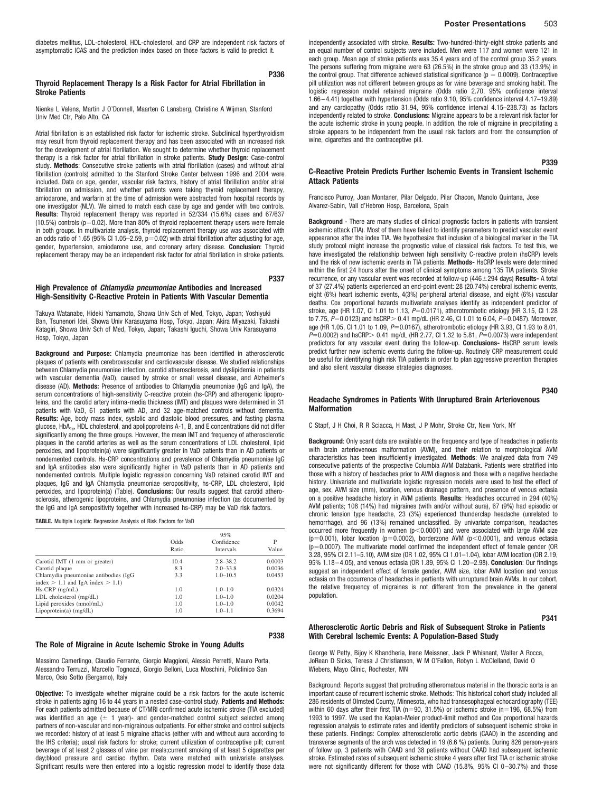diabetes mellitus, LDL-cholesterol, HDL-cholesterol, and CRP are independent risk factors of asymptomatic ICAS and the prediction index based on those factors is valid to predict it.

## **P336 Thyroid Replacement Therapy Is a Risk Factor for Atrial Fibrillation in Stroke Patients**

Nienke L Valens, Martin J O'Donnell, Maarten G Lansberg, Christine A Wijman, Stanford Univ Med Ctr, Palo Alto, CA

Atrial fibrillation is an established risk factor for ischemic stroke. Subclinical hyperthyroidism may result from thyroid replacement therapy and has been associated with an increased risk for the development of atrial fibrillation. We sought to determine whether thyroid replacement therapy is a risk factor for atrial fibrillation in stroke patients. **Study Design**: Case-control study. **Methods**: Consecutive stroke patients with atrial fibrillation (cases) and without atrial fibrillation (controls) admitted to the Stanford Stroke Center between 1996 and 2004 were included. Data on age, gender, vascular risk factors, history of atrial fibrillation and/or atrial fibrillation on admission, and whether patients were taking thyroid replacement therapy, amiodarone, and warfarin at the time of admission were abstracted from hospital records by one investigator (NLV). We aimed to match each case by age and gender with two controls. **Results**: Thyroid replacement therapy was reported in 52/334 (15.6%) cases and 67/637  $(10.5%)$  controls  $(p=0.02)$ . More than 80% of thyroid replacement therapy users were female in both groups. In multivariate analysis, thyroid replacement therapy use was associated with an odds ratio of  $1.65$  (95% Cl  $1.05-2.59$ , p=0.02) with atrial fibrillation after adjusting for age, gender, hypertension, amiodarone use, and coronary artery disease. **Conclusion**: Thyroid replacement therapy may be an independent risk factor for atrial fibrillation in stroke patients.

## **High Prevalence of** *Chlamydia pneumoniae* **Antibodies and Increased High-Sensitivity C-Reactive Protein in Patients With Vascular Dementia**

**P337**

**P338**

Takuya Watanabe, Hideki Yamamoto, Showa Univ Sch of Med, Tokyo, Japan; Yoshiyuki Ban, Tsunenori Idei, Showa Univ Karasuyama Hosp, Tokyo, Japan; Akira Miyazaki, Takashi Katagiri, Showa Univ Sch of Med, Tokyo, Japan; Takashi Iguchi, Showa Univ Karasuyama Hosp, Tokyo, Japan

**Background and Purpose:** Chlamydia pneumoniae has been identified in atherosclerotic plaques of patients with cerebrovascular and cardiovascular disease. We studied relationships between Chlamydia pneumoniae infection, carotid atherosclerosis, and dyslipidemia in patients with vascular dementia (VaD), caused by stroke or small vessel disease, and Alzheimer's disease (AD). **Methods:** Presence of antibodies to Chlamydia pneumoniae (IgG and IgA), the serum concentrations of high-sensitivity C-reactive protein (hs-CRP) and atherogenic lipoproteins, and the carotid artery intima-media thickness (IMT) and plaques were determined in 31 patients with VaD, 61 patients with AD, and 32 age-matched controls without dementia. **Results:** Age, body mass index, systolic and diastolic blood pressures, and fasting plasma glucose, HbA<sub>1c</sub>, HDL cholesterol, and apolipoproteins A-1, B, and E concentrations did not differ significantly among the three groups. However, the mean IMT and frequency of atherosclerotic plaques in the carotid arteries as well as the serum concentrations of LDL cholesterol, lipid peroxides, and lipoprotein(a) were significantly greater in VaD patients than in AD patients or nondemented controls. Hs-CRP concentrations and prevalence of Chlamydia pneumoniae IgG and IgA antibodies also were significantly higher in VaD patients than in AD patients and nondemented controls. Multiple logistic regression concerning VaD retained carotid IMT and plaques, IgG and IgA Chlamydia pneumoniae seropositivity, hs-CRP, LDL cholesterol, lipid peroxides, and lipoprotein(a) (Table). **Conclusions:** Our results suggest that carotid atherosclerosis, atherogenic lipoproteins, and Chlamydia pneumoniae infection (as documented by the IgG and IgA seropositivity together with increased hs-CRP) may be VaD risk factors.

**TABLE.** Multiple Logistic Regression Analysis of Risk Factors for VaD

|                                       | 95%           |                                |            |  |
|---------------------------------------|---------------|--------------------------------|------------|--|
|                                       | Odds<br>Ratio | Confidence<br><b>Intervals</b> | P<br>Value |  |
| Carotid IMT (1 mm or greater)         | 10.4          | $2.8 - 38.2$                   | 0.0003     |  |
| Carotid plaque                        | 8.3           | $2.0 - 33.8$                   | 0.0036     |  |
| Chlamydia pneumoniae antibodies (IgG  | 3.3           | $1.0 - 10.5$                   | 0.0453     |  |
| index $> 1.1$ and IgA index $> 1.1$ ) |               |                                |            |  |
| $Hs-CRP$ (ng/mL)                      | 1.0           | $1.0 - 1.0$                    | 0.0324     |  |
| LDL cholesterol (mg/dL)               | 1.0           | $1.0 - 1.0$                    | 0.0204     |  |
| Lipid peroxides (nmol/mL)             | 1.0           | $1.0 - 1.0$                    | 0.0042     |  |
| $Lipoprotein(a)$ (mg/dL)              | 1.0           | $1.0 - 1.1$                    | 0.3694     |  |

### **The Role of Migraine in Acute Ischemic Stroke in Young Adults**

Massimo Camerlingo, Claudio Ferrante, Giorgio Maggioni, Alessio Perretti, Mauro Porta, Alessandro Terruzzi, Marcello Tognozzi, Giorgio Belloni, Luca Moschini, Policlinico San Marco, Osio Sotto (Bergamo), Italy

**Objective:** To investigate whether migraine could be a risk factors for the acute ischemic stroke in patients aging 16 to 44 years in a nested case-control study. **Patients and Methods:** For each patients admitted because of CT/MRI confirmed acute ischemic stroke (TIA excluded) was identified an age  $( \pm 1 \text{ year})$ - and gender-matched control subject selected among partners of non-vascular and non-migrainous outpatients. For either stroke and control subjects we recorded: history of at least 5 migraine attacks (either with and without aura according to the IHS criteria); usual risk factors for stroke; current utilization of contraceptive pill; current beverage of at least 2 glasses of wine per meals;current smoking of at least 5 cigarettes per day;blood pressure and cardiac rhythm. Data were matched with univariate analyses. Significant results were then entered into a logistic regression model to identify those data

independently associated with stroke. **Results:** Two-hundred-thirty-eight stroke patients and an equal number of control subjects were included. Men were 117 and women were 121 in each group. Mean age of stroke patients was 35.4 years and of the control group 35.2 years. The persons suffering from migraine were 63 (26.5%) in the stroke group and 33 (13.9%) in the control group. That difference achieved statistical significance ( $p = 0.0009$ ). Contraceptive pill utilization was not different between groups as for wine beverage and smoking habit. The logistic regression model retained migraine (Odds ratio 2.70, 95% confidence interval 1.66–4.41) together with hypertension (Odds ratio 9.10, 95% confidence interval 4.17–19.89) and any cardiopathy (Odds ratio 31.94, 95% confidence interval 4.15–238.73) as factors independently related to stroke. **Conclusions:** Migraine appears to be a relevant risk factor for the acute ischemic stroke in young people. In addition, the role of migraine in precipitating a stroke appears to be independent from the usual risk factors and from the consumption of wine, cigarettes and the contraceptive pill.

### **P339**

## **C-Reactive Protein Predicts Further Ischemic Events in Transient Ischemic Attack Patients**

Francisco Purroy, Joan Montaner, Pilar Delgado, Pilar Chacon, Manolo Quintana, Jose Alvarez-Sabin, Vall d'Hebron Hosp, Barcelona, Spain

**Background** - There are many studies of clinical prognostic factors in patients with transient ischemic attack (TIA). Most of them have failed to identify parameters to predict vascular event appearance after the index TIA. We hypothesize that inclusion of a biological marker in the TIA study protocol might increase the prognostic value of classical risk factors. To test this, we have investigated the relationship between high sensitivity C-reactive protein (hsCRP) levels and the risk of new ischemic events in TIA patients. **Methods-** HsCRP levels were determined within the first 24 hours after the onset of clinical symptoms among 135 TIA patients. Stroke recurrence, or any vascular event was recorded at follow-up (446 $\pm$ 294 days) Results- A total of 37 (27.4%) patients experienced an end-point event: 28 (20.74%) cerebral ischemic events, eight (6%) heart ischemic events, 4(3%) peripheral arterial disease, and eight (6%) vascular deaths. Cox proportional hazards multivariate analyses identify as independent predictor of stroke, age (HR 1.07, Cl 1.01 to 1.13, P=0.0171), atherotrombotic etiology (HR 3.15, Cl 1.28 to 7.75, *P*=0.0123) and hsCRP> 0.41 mg/dL (HR 2.46, Cl 1.01 to 6.04, *P*=0.0487). Moreover, age (HR 1.05, CI 1.01 to 1.09, P=0.0167), atherotrombotic etiology (HR 3.93, CI 1.93 to 8.01, *P*=0.0002) and hsCRP> 0.41 mg/dL (HR 2.77, CI 1.32 to 5.81, *P*=0.0073) were independent predictors for any vascular event during the follow-up. **Conclusions-** HsCRP serum levels predict further new ischemic events during the follow-up. Routinely CRP measurement could be useful for identifying high risk TIA patients in order to plan aggressive prevention therapies and also silent vascular disease strategies diagnoses.

### **P340 Headache Syndromes in Patients With Unruptured Brain Arteriovenous Malformation**

C Stapf, J H Choi, R R Sciacca, H Mast, J P Mohr, Stroke Ctr, New York, NY

**Background**: Only scant data are available on the frequency and type of headaches in patients with brain arteriovenous malformation (AVM), and their relation to morphological AVM characteristics has been insufficiently investigated. **Methods**: We analyzed data from 749 consecutive patients of the prospective Columbia AVM Databank. Patients were stratified into those with a history of headaches prior to AVM diagnosis and those with a negative headache history. Univariate and multivariate logistic regression models were used to test the effect of age, sex, AVM size (mm), location, venous drainage pattern, and presence of venous ectasia on a positive headache history in AVM patients. **Results**: Headaches occurred in 294 (40%) AVM patients; 108 (14%) had migraines (with and/or without aura), 67 (9%) had episodic or chronic tension type headache, 23 (3%) experienced thunderclap headache (unrelated to hemorrhage), and 96 (13%) remained unclassified. By univariate comparison, headaches occurred more frequently in women ( $p<0.0001$ ) and were associated with large AVM size  $(p=0.001)$ , lobar location  $(p=0.0002)$ , borderzone AVM  $(p<0.0001)$ , and venous ectasia (p=0.0007). The multivariate model confirmed the independent effect of female gender (OR 3.28, 95% CI 2.11–5.10), AVM size (OR 1.02, 95% CI 1.01–1.04), lobar AVM location (OR 2.19, 95% 1.18–4.05), and venous ectasia (OR 1.89, 95% CI 1.20–2.98). **Conclusion**: Our findings suggest an independent effect of female gender, AVM size, lobar AVM location and venous ectasia on the occurrence of headaches in partients with unruptured brain AVMs. In our cohort, the relative frequency of migraines is not different from the prevalence in the general population.

### **P341**

### **Atherosclerotic Aortic Debris and Risk of Subsequent Stroke in Patients With Cerebral Ischemic Events: A Population-Based Study**

George W Petty, Bijoy K Khandheria, Irene Meissner, Jack P Whisnant, Walter A Rocca, JoRean D Sicks, Teresa J Christianson, W M O'Fallon, Robyn L McClelland, David O Wiebers, Mayo Clinic, Rochester, MN

Background: Reports suggest that protruding atheromatous material in the thoracic aorta is an important cause of recurrent ischemic stroke. Methods: This historical cohort study included all 286 residents of Olmsted County, Minnesota, who had transesophageal echocardiography (TEE) within 60 days after their first TIA ( $n=90, 31.5%$ ) or ischemic stroke ( $n=196, 68.5%$ ) from 1993 to 1997. We used the Kaplan-Meier product-limit method and Cox proportional hazards regression analysis to estimate rates and identify predictors of subsequent ischemic stroke in these patients. Findings: Complex atherosclerotic aortic debris (CAAD) in the ascending and transverse segments of the arch was detected in 19 (6.6 %) patients. During 826 person-years of follow up, 3 patients with CAAD and 38 patients without CAAD had subsequent ischemic stroke. Estimated rates of subsequent ischemic stroke 4 years after first TIA or ischemic stroke were not significantly different for those with CAAD (15.8%, 95% CI 0–30.7%) and those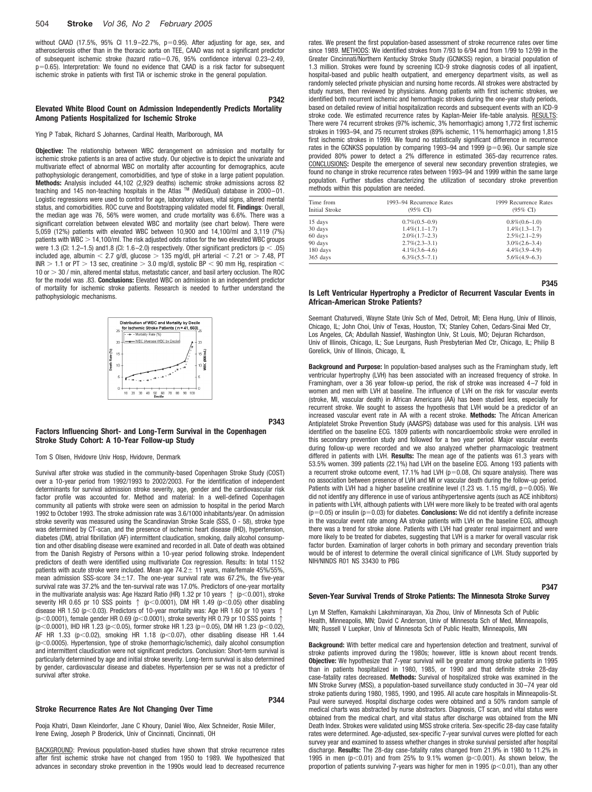## 504 **Stroke** *Vol 36, No 2 February 2005*

without CAAD (17.5%, 95% CI 11.9-22.7%, p=0.95). After adjusting for age, sex, and atherosclerosis other than in the thoracic aorta on TEE, CAAD was not a significant predictor of subsequent ischemic stroke (hazard ratio=0.76, 95% confidence interval 0.23-2.49, p-0.65). Interpretation: We found no evidence that CAAD is a risk factor for subsequent ischemic stroke in patients with first TIA or ischemic stroke in the general population.

## **Elevated White Blood Count on Admission Independently Predicts Mortality Among Patients Hospitalized for Ischemic Stroke**

Ying P Tabak, Richard S Johannes, Cardinal Health, Marlborough, MA

**Objective:** The relationship between WBC derangement on admission and mortality for ischemic stroke patients is an area of active study. Our objective is to depict the univariate and multivariate effect of abnormal WBC on mortality after accounting for demographics, acute pathophysiologic derangement, comorbidities, and type of stoke in a large patient population. **Methods:** Analysis included 44,102 (2,929 deaths) ischemic stroke admissions across 82 teaching and 145 non-teaching hospitals in the Atlas TM (MediQual) database in 2000–01. Logistic regressions were used to control for age, laboratory values, vital signs, altered mental status, and comorbidities. ROC curve and Bootstrapping validated model fit. **Findings**: Overall, the median age was 76, 56% were women, and crude mortality was 6.6%. There was a significant correlation between elevated WBC and mortality (see chart below). There were 5,059 (12%) patients with elevated WBC between 10,900 and 14,100/ml and 3,119 (7%) patients with WBC  $> 14,100$ /ml. The risk adjusted odds ratios for the two elevated WBC groups were 1.3 (CI: 1.2–1.5) and 1.8 (CI: 1.6–2.0) respectively. Other significant predictors (p  $<$  .05) included age, albumin  $<$  2.7 g/dl, glucose  $>$  135 mg/dl, pH arterial  $<$  7.21 or  $>$  7.48, PT INR  $>$  1.1 or PT  $>$  13 sec, creatinine  $>$  3.0 mg/dl, systolic BP  $<$  90 mm Hg, respiration  $<$  $10$  or  $>$  30 / min, altered mental status, metastatic cancer, and basil artery occlusion. The ROC for the model was .83. **Conclusions:** Elevated WBC on admission is an independent predictor of mortality for ischemic stroke patients. Research is needed to further understand the pathophysiologic mechanisms.



**P343**

**P342**

## **Factors Influencing Short- and Long-Term Survival in the Copenhagen Stroke Study Cohort: A 10-Year Follow-up Study**

#### Tom S Olsen, Hvidovre Univ Hosp, Hvidovre, Denmark

Survival after stroke was studied in the community-based Copenhagen Stroke Study (COST) over a 10-year period from 1992/1993 to 2002/2003. For the identification of independent determinants for survival admission stroke severity, age, gender and the cardiovascular risk factor profile was accounted for. Method and material: In a well-defined Copenhagen community all patients with stroke were seen on admission to hospital in the period March 1992 to October 1993. The stroke admission rate was 3.6/1000 inhabitants/year. On admission stroke severity was measured using the Scandinavian Stroke Scale (SSS, 0 - 58), stroke type was determined by CT-scan, and the presence of ischemic heart disease (IHD), hypertension, diabetes (DM), atrial fibrillation (AF) intermittent claudication, smoking, daily alcohol consumption and other disabling disease were examined and recorded in all. Date of death was obtained from the Danish Registry of Persons within a 10-year period following stroke. Independent predictors of death were identified using multivariate Cox regression. Results: In total 1152 patients with acute stroke were included. Mean age  $74.2 \pm 11$  years, male/female 45%/55%, mean admission SSS-score  $34 \pm 17$ . The one-year survival rate was 67.2%, the five-year survival rate was 37.2% and the ten-survival rate was 17.0%. Predictors of one-year mortality in the multivariate analysis was: Age Hazard Ratio (HR) 1.32 pr 10 years  $\uparrow$  (p<0.001), stroke severity HR 0.65 pr 10 SSS points  $\uparrow$  (p<0.0001), DM HR 1.49 (p<0.05) other disabling disease HR 1.50 ( $p< 0.03$ ). Predictors of 10-year mortality was: Age HR 1.60 pr 10 years 1 ( $p$ <0.0001), female gender HR 0.69 ( $p$ <0.0001), stroke severity HR 0.79 pr 10 SSS points 1 (p<0.0001), IHD HR 1.23 (p<0.05), former stroke HR 1.23 (p=0.05), DM HR 1.23 (p<0.02), AF HR 1.33 (p $<$  0.02), smoking HR 1.18 (p $<$  0.07), other disabling disease HR 1.44 (p<0.0005). Hypertension, type of stroke (hemorrhagic/ischemic), daily alcohol consumption and intermittent claudication were not significant predictors. Conclusion: Short-term survival is particularly determined by age and initial stroke severity. Long-term survival is also determined by gender, cardiovascular disease and diabetes. Hypertension per se was not a predictor of survival after stroke.

## **Stroke Recurrence Rates Are Not Changing Over Time**

## **P344**

Pooja Khatri, Dawn Kleindorfer, Jane C Khoury, Daniel Woo, Alex Schneider, Rosie Miller, Irene Ewing, Joseph P Broderick, Univ of Cincinnati, Cincinnati, OH

BACKGROUND: Previous population-based studies have shown that stroke recurrence rates after first ischemic stroke have not changed from 1950 to 1989. We hypothesized that advances in secondary stroke prevention in the 1990s would lead to decreased recurrence rates. We present the first population-based assessment of stroke recurrence rates over time since 1989. METHODS: We identified strokes from 7/93 to 6/94 and from 1/99 to 12/99 in the Greater Cincinnati/Northern Kentucky Stroke Study (GCNKSS) region, a biracial population of 1.3 million. Strokes were found by screening ICD-9 stroke diagnosis codes of all inpatient, hospital-based and public health outpatient, and emergency department visits, as well as randomly selected private physician and nursing home records. All strokes were abstracted by study nurses, then reviewed by physicians. Among patients with first ischemic strokes, we identified both recurrent ischemic and hemorrhagic strokes during the one-year study periods, based on detailed review of initial hospitalization records and subsequent events with an ICD-9 stroke code. We estimated recurrence rates by Kaplan-Meier life-table analysis. RESULTS: There were 74 recurrent strokes (97% ischemic, 3% hemorrhagic) among 1,772 first ischemic strokes in 1993–94, and 75 recurrent strokes (89% ischemic, 11% hemorrhagic) among 1,815 first ischemic strokes in 1999. We found no statistically significant difference in recurrence rates in the GCNKSS population by comparing 1993–94 and 1999  $(p=0.96)$ . Our sample size provided 80% power to detect a 2% difference in estimated 365-day recurrence rates. CONCLUSIONS**:** Despite the emergence of several new secondary prevention strategies, we found no change in stroke recurrence rates between 1993–94 and 1999 within the same large population. Further studies characterizing the utilization of secondary stroke prevention methods within this population are needed.

| Time from<br><b>Initial Stroke</b> | 1993–94 Recurrence Rates<br>$(95\% \text{ C}D)$ | 1999 Recurrence Rates<br>$(95\% \text{ C}I)$ |  |  |
|------------------------------------|-------------------------------------------------|----------------------------------------------|--|--|
| 15 days                            | $0.7\%$ $(0.5-0.9)$                             | $0.8\%(0.6-1.0)$                             |  |  |
| 30 days                            | $1.4\%$ $(1.1-1.7)$                             | $1.4\%$ $(1.3-1.7)$                          |  |  |
| 60 days                            | $2.0\%$ $(1.7-2.3)$                             | $2.5\%$ $(2.1-2.9)$                          |  |  |
| 90 days                            | $2.7\%(2.3-3.1)$                                | $3.0\%$ $(2.6-3.4)$                          |  |  |
| 180 days                           | $4.1\%$ $(3.6-4.6)$                             | $4.4\%$ $(3.9-4.9)$                          |  |  |
| 365 days                           | $6.3\%$ $(5.5-7.1)$                             | $5.6\%(4.9-6.3)$                             |  |  |

### **Is Left Ventricular Hypertrophy a Predictor of Recurrent Vascular Events in African-American Stroke Patients?**

**P345**

**P347**

Seemant Chaturvedi, Wayne State Univ Sch of Med, Detroit, MI; Elena Hung, Univ of Illinois, Chicago, IL; John Choi, Univ of Texas, Houston, TX; Stanley Cohen, Cedars-Sinai Med Ctr, Los Angeles, CA; Abdullah Nassief, Washington Univ, St Louis, MO; Dejuran Richardson, Univ of Illinois, Chicago, IL; Sue Leurgans, Rush Presbyterian Med Ctr, Chicago, IL; Philip B Gorelick, Univ of Illinois, Chicago, IL

**Background and Purpose:** In population-based analyses such as the Framingham study, left ventricular hypertrophy (LVH) has been associated with an increased frequency of stroke. In Framingham, over a 36 year follow-up period, the risk of stroke was increased 4–7 fold in women and men with LVH at baseline. The influence of LVH on the risk for vascular events (stroke, MI, vascular death) in African Americans (AA) has been studied less, especially for recurrent stroke. We sought to assess the hypothesis that LVH would be a predictor of an increased vascular event rate in AA with a recent stroke. **Methods:** The African American Antiplatelet Stroke Prevention Study (AAASPS) database was used for this analysis. LVH was identified on the baseline ECG. 1809 patients with noncardioembolic stroke were enrolled in this secondary prevention study and followed for a two year period. Major vascular events during follow-up were recorded and we also analyzed whether pharmacologic treatment differed in patients with LVH. **Results:** The mean age of the patients was 61.3 years with 53.5% women. 399 patients (22.1%) had LVH on the baseline ECG. Among 193 patients with a recurrent stroke outcome event,  $17.1\%$  had LVH ( $p=0.08$ , Chi square analysis). There was no association between presence of LVH and MI or vascular death during the follow-up period. Patients with LVH had a higher baseline creatinine level (1.23 vs. 1.15 mg/dl, p=0.005). We did not identify any difference in use of various antihypertensive agents (such as ACE inhibitors) in patients with LVH, although patients with LVH were more likely to be treated with oral agents (p=0.05) or insulin (p=0.03) for diabetes. **Conclusions:** We did not identify a definite increase in the vascular event rate among AA stroke patients with LVH on the baseline ECG, although there was a trend for stroke alone. Patients with LVH had greater renal impairment and were more likely to be treated for diabetes, suggesting that LVH is a marker for overall vascular risk factor burden. Examination of larger cohorts in both primary and secondary prevention trials would be of interest to determine the overall clinical significance of LVH. Study supported by NIH/NINDS R01 NS 33430 to PBG

## **Seven-Year Survival Trends of Stroke Patients: The Minnesota Stroke Survey**

Lyn M Steffen, Kamakshi Lakshminarayan, Xia Zhou, Univ of Minnesota Sch of Public Health, Minneapolis, MN; David C Anderson, Univ of Minnesota Sch of Med, Minneapolis, MN; Russell V Luepker, Univ of Minnesota Sch of Public Health, Minneapolis, MN

**Background:** With better medical care and hypertension detection and treatment, survival of stroke patients improved during the 1980s; however, little is known about recent trends. **Objective:** We hypothesize that 7-year survival will be greater among stroke patients in 1995 than in patients hospitalized in 1980, 1985, or 1990 and that definite stroke 28-day case-fatality rates decreased. **Methods:** Survival of hospitalized stroke was examined in the MN Stroke Survey (MSS), a population-based surveillance study conducted in 30–74 year old stroke patients during 1980, 1985, 1990, and 1995. All acute care hospitals in Minneapolis-St. Paul were surveyed. Hospital discharge codes were obtained and a 50% random sample of medical charts was abstracted by nurse abstractors. Diagnosis, CT scan, and vital status were obtained from the medical chart, and vital status after discharge was obtained from the MN Death Index. Strokes were validated using MSS stroke criteria. Sex-specific 28-day case fatality rates were determined. Age-adjusted, sex-specific 7-year survival curves were plotted for each survey year and examined to assess whether changes in stroke survival persisted after hospital discharge. **Results:** The 28-day case-fatality rates changed from 21.9% in 1980 to 11.2% in 1995 in men ( $p<0.01$ ) and from 25% to 9.1% women ( $p<0.001$ ). As shown below, the proportion of patients surviving 7-years was higher for men in 1995  $(p< 0.01)$ , than any other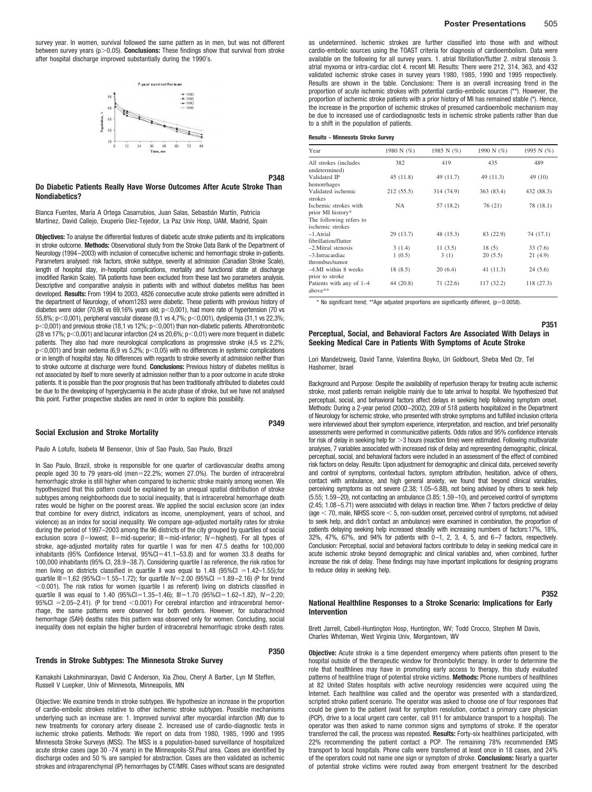survey year. In women, survival followed the same pattern as in men, but was not different between survey years  $(p>0.05)$ . **Conclusions:** These findings show that survival from stroke after hospital discharge improved substantially during the 1990's.



## **Do Diabetic Patients Really Have Worse Outcomes After Acute Stroke Than Nondiabetics?**

Blanca Fuentes, María A Ortega Casarrubios, Juan Salas, Sebastián Martín, Patricia Martínez, David Callejo, Exuperio Díez-Tejedor, La Paz Univ Hosp, UAM, Madrid, Spain

**Objectives:** To analyse the differential features of diabetic acute stroke patients and its implications in stroke outcome. **Methods:** Observational study from the Stroke Data Bank of the Department of Neurology (1994–2003) with inclusion of consecutive ischemic and hemorrhagic stroke in-patients. Parameters analysed: risk factors, stroke subtype, severity at admission (Canadian Stroke Scale), length of hospital stay, in-hospital complications, mortality and functional state at discharge (modified Rankin Scale). TIA patients have been excluded from these last two parameters analysis. Descriptive and comparative analysis in patients with and without diabetes mellitus has been developed. **Results:** From 1994 to 2003, 4826 consecutive acute stroke patients were admitted in the department of Neurology, of whom1283 were diabetic. These patients with previous history of diabetes were older (70,98 vs 69,16% years old;  $p<$ 0,001), had more rate of hypertension (70 vs 55,8%; p<0,001), peripheral vascular disease (9,1 vs 4,7%; p<0,001), dyslipemia (31,1 vs 22,3%;  $p<0,001$ ) and previous stroke (18,1 vs 12%;  $p<0,001$ ) than non-diabetic patients. Atherotrombotic (28 vs 17%;  $p<$  0,001) and lacunar infarction (24 vs 20,6%;  $p<$  0,01) were more frequent in diabetic patients. They also had more neurological complications as progressive stroke (4,5 vs 2,2%;  $p<0,001$ ) and brain oedema (6,9 vs 5,2%;  $p<0,05$ ) with no differences in systemic complications or in length of hospital stay. No differences with regards to stroke severity at admission neither than to stroke outcome at discharge were found. **Conclusions:** Previous history of diabetes mellitus is not associated by itself to more severity at admission neither than to a poor outcome in acute stroke patients. It is possible than the poor prognosis that has been traditionally attributed to diabetes could be due to the developing of hyperglycaemia in the acute phase of stroke, but we have not analysed this point. Further prospective studies are need in order to explore this possibility.

#### **Social Exclusion and Stroke Mortality**

Paulo A Lotufo, Isabela M Bensenor, Univ of Sao Paulo, Sao Paulo, Brazil

In Sao Paulo, Brazil, stroke is responsible for one quarter of cardiovascular deaths among people aged 30 to 79 years-old (men=22.2%; women 27.0%). The burden of intracerebral hemorrhagic stroke is still higher when compared to ischemic stroke mainly among women. We hypothesized that this pattern could be explained by an unequal spatial distribution of stroke subtypes among neighborhoods due to social inequality, that is intracerebral hemorrhage death rates would be higher on the poorest areas. We applied the social exclusion score (an index that combine for every district, indicators as income, unemployment, years of school, and violence) as an index for social inequality. We compare age-adjusted mortality rates for stroke during the period of 1997–2003 among the 96 districts of the city grouped by quartiles of social exclusion score (I=lowest; II=mid-superior; III=mid-inferior; IV=highest). For all types of stroke, age-adjusted mortality rates for quartile I was for men 47.5 deaths for 100,000 inhabitants (95% Confidence Interval, 95%CI=41.1-53.8) and for women 33.8 deaths for 100,000 inhabitants (95% CI, 28.9–38.7). Considering quartile I as reference, the risk ratios for men living on districts classified in quartile II was equal to  $1.48$  (95%Cl =  $1.42-1.55$ );for quartile III=1,62 (95%CI=1.55–1.72); for quartile IV=2.00 (95%CI =1.89–2.16) (P for trend  $<$  0.001). The risk ratios for women (quartile I as referent) living on districts classified in quartile II was equal to 1.40  $(95\%$ CI=1.35-1.46); III=1.70  $(95\%$ CI=1.62-1.82), IV=2,20;  $95\%$ CI  $=$  2.05–2.41). (P for trend  $<$  0.001) For cerebral infarction and intracerebral hemorrhage, the same patterns were observed for both genders. However, for subarachnoid hemorrhage (SAH) deaths rates this pattern was observed only for women. Concluding, social inequality does not explain the higher burden of intracerebral hemorrhagic stroke death rates.

#### **Trends in Stroke Subtypes: The Minnesota Stroke Survey**

Kamakshi Lakshminarayan, David C Anderson, Xia Zhou, Cheryl A Barber, Lyn M Steffen, Russell V Luepker, Univ of Minnesota, Minneapolis, MN

Objective: We examine trends in stroke subtypes. We hypothesize an increase in the proportion of cardio-embolic strokes relative to other ischemic stroke subtypes. Possible mechanisms underlying such an increase are: 1. Improved survival after myocardial infarction (MI) due to new treatments for coronary artery disease 2. Increased use of cardio-diagnostic tests in ischemic stroke patients. Methods: We report on data from 1980, 1985, 1990 and 1995 Minnesota Stroke Surveys (MSS). The MSS is a population-based surveillance of hospitalized acute stroke cases (age 30 -74 years) in the Minneapolis-St.Paul area. Cases are identified by discharge codes and 50 % are sampled for abstraction. Cases are then validated as ischemic strokes and intraparenchymal (IP) hemorrhages by CT/MRI. Cases without scans are designated as undetermined. Ischemic strokes are further classified into those with and without cardio-embolic sources using the TOAST criteria for diagnosis of cardioembolism. Data were available on the following for all survey years. 1. atrial fibrillation/flutter 2. mitral stenosis 3. atrial myxoma or intra-cardiac clot 4. recent MI. Results: There were 212, 314, 363, and 432 validated ischemic stroke cases in survey years 1980, 1985, 1990 and 1995 respectively. Results are shown in the table. Conclusions: There is an overall increasing trend in the proportion of acute ischemic strokes with potential cardio-embolic sources (\*\*). However, the proportion of ischemic stroke patients with a prior history of MI has remained stable (\*). Hence, the increase in the proportion of ischemic strokes of presumed cardioembolic mechanism may be due to increased use of cardiodiagnostic tests in ischemic stroke patients rather than due to a shift in the population of patients.

#### **Results - Minnesota Stroke Survey**

**P348**

**P349**

**P350**

| Year                                        | 1980 N (%) | 1985 N $(\%)$ | 1990 N (%) | 1995 N (%) |
|---------------------------------------------|------------|---------------|------------|------------|
| All strokes (includes<br>undetermined)      | 382        | 419           | 435        | 489        |
| Validated IP<br>hemorrhages                 | 45(11.8)   | 49 (11.7)     | 49 (11.3)  | 49 (10)    |
| Validated ischemic<br>strokes               | 212 (55.5) | 314 (74.9)    | 363 (83.4) | 432 (88.3) |
| Ischemic strokes with<br>prior MI history*  | <b>NA</b>  | 57 (18.2)     | 76 (21)    | 78 (18.1)  |
| The following refers to<br>ischemic strokes |            |               |            |            |
| $-1$ . Atrial<br>fibrillation/flutter       | 29 (13.7)  | 48 (15.3)     | 83 (22.9)  | 74 (17.1)  |
| $-2$ . Mitral stenosis                      | 3(1.4)     | 11(3.5)       | 18(5)      | 33 (7.6)   |
| -3.Intracardiac<br>thrombus/tumor           | 1(0.5)     | 3(1)          | 20(5.5)    | 21(4.9)    |
| -4.MI within 8 weeks<br>prior to stroke     | 18 (8.5)   | 20(6.4)       | 41(11.3)   | 24(5.6)    |
| Patients with any of 1–4<br>above**         | 44 (20.8)  | 71 (22.6)     | 117 (32.2) | 118 (27.3) |

\* No significant trend; \*\*Age adjusted proportions are significantly different, (p=0.0058).

## **Perceptual, Social, and Behavioral Factors Are Associated With Delays in Seeking Medical Care in Patients With Symptoms of Acute Stroke**

Lori Mandelzweig, David Tanne, Valentina Boyko, Uri Goldbourt, Sheba Med Ctr, Tel Hashomer, Israel

Background and Purpose: Despite the availability of reperfusion therapy for treating acute ischemic stroke, most patients remain ineligible mainly due to late arrival to hospital. We hypothesized that perceptual, social, and behavioral factors affect delays in seeking help following symptom onset. Methods: During a 2-year period (2000–2002), 209 of 518 patients hospitalized in the Department of Neurology for ischemic stroke, who presented with stroke symptoms and fulfilled inclusion criteria were interviewed about their symptom experience, interpretation, and reaction, and brief personality assessments were performed in communicative patients. Odds ratios and 95% confidence intervals for risk of delay in seeking help for >3 hours (reaction time) were estimated. Following multivariate analyses, 7 variables associated with increased risk of delay and representing demographic, clinical, perceptual, social, and behavioral factors were included in an assessment of the effect of combined risk factors on delay. Results: Upon adjustment for demographic and clinical data, perceived severity and control of symptoms, contextual factors, symptom attribution, hesitation, advice of others, contact with ambulance, and high general anxiety, we found that beyond clinical variables, perceiving symptoms as not severe (2.38; 1.05–5.88), not being advised by others to seek help (5.55; 1.59–20), not contacting an ambulance (3.85; 1.59–10), and perceived control of symptoms (2.45; 1.08–5.71) were associated with delays in reaction time. When 7 factors predictive of delay (age  $<$  70, male, NIHSS score  $<$  5, non-sudden onset, perceived control of symptoms, not advised to seek help, and didn't contact an ambulance) were examined in combination, the proportion of patients delaying seeking help increased steadily with increasing numbers of factors:17%, 18%, 32%, 47%, 67%, and 94% for patients with 0–1, 2, 3, 4, 5, and 6–7 factors, respectively. Conclusion: Perceptual, social and behavioral factors contribute to delay in seeking medical care in acute ischemic stroke beyond demographic and clinical variables and, when combined, further increase the risk of delay. These findings may have important implications for designing programs to reduce delay in seeking help.

## **P352**

**P351**

## **National Healthline Responses to a Stroke Scenario: Implications for Early Intervention**

Brett Jarrell, Cabell-Huntington Hosp, Huntington, WV; Todd Crocco, Stephen M Davis, Charles Whiteman, West Virginia Univ, Morgantown, WV

**Objective:** Acute stroke is a time dependent emergency where patients often present to the hospital outside of the therapeutic window for thrombolytic therapy. In order to determine the role that healthlines may have in promoting early access to therapy, this study evaluated patterns of healthline triage of potential stroke victims. **Methods:** Phone numbers of healthlines at 82 United States hospitals with active neurology residencies were acquired using the Internet. Each healthline was called and the operator was presented with a standardized, scripted stroke patient scenario. The operator was asked to choose one of four responses that could be given to the patient (wait for symptom resolution, contact a primary care physician (PCP), drive to a local urgent care center, call 911 for ambulance transport to a hospital). The operator was then asked to name common signs and symptoms of stroke. If the operator transferred the call, the process was repeated. **Results:** Forty-six healthlines participated, with 22% recommending the patient contact a PCP. The remaining 78% recommended EMS transport to local hospitals. Phone calls were transferred at least once in 18 cases, and 24% of the operators could not name one sign or symptom of stroke. **Conclusions:** Nearly a quarter of potential stroke victims were routed away from emergent treatment for the described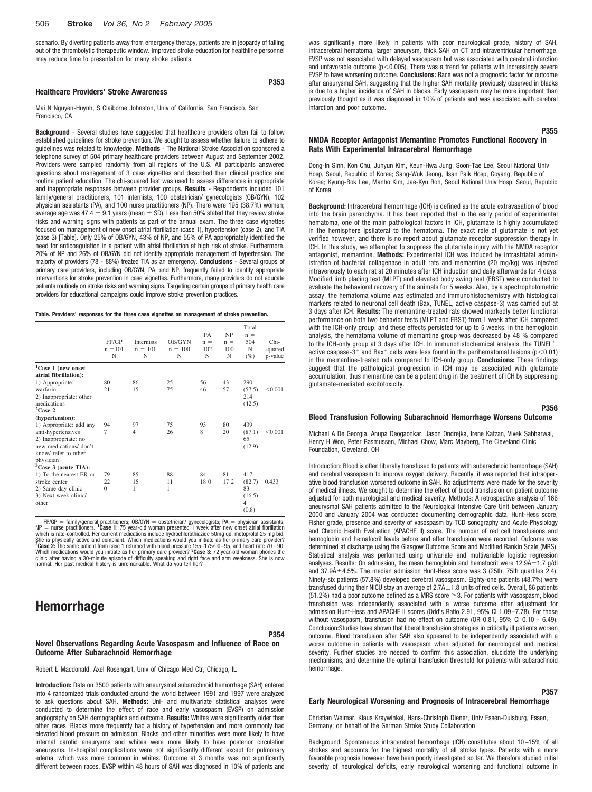## 506 **Stroke** *Vol 36, No 2 February 2005*

scenario. By diverting patients away from emergency therapy, patients are in jeopardy of falling out of the thrombolytic therapeutic window. Improved stroke education for healthline personnel may reduce time to presentation for many stroke patients.

### **Healthcare Providers' Stroke Awareness**

Mai N Nguyen-Huynh, S Claiborne Johnston, Univ of California, San Francisco, San Francisco, CA

**Background** - Several studies have suggested that healthcare providers often fail to follow established guidelines for stroke prevention. We sought to assess whether failure to adhere to guidelines was related to knowledge. **Methods** - The National Stroke Association sponsored a telephone survey of 504 primary healthcare providers between August and September 2002. Providers were sampled randomly from all regions of the U.S. All participants answered questions about management of 3 case vignettes and described their clinical practice and routine patient education. The chi-squared test was used to assess differences in appropriate and inappropriate responses between provider groups. **Results** - Respondents included 101 family/general practitioners, 101 internists, 100 obstetrician/ gynecologists (OB/GYN), 102 physician assistants (PA), and 100 nurse practitioners (NP). There were 195 (38.7%) women; average age was 47.4  $\pm$  9.1 years (mean  $\pm$  SD). Less than 50% stated that they review stroke risks and warning signs with patients as part of the annual exam. The three case vignettes focused on management of new onset atrial fibrillation (case 1), hypertension (case 2), and TIA (case 3) [Table]. Only 25% of OB/GYN, 43% of NP, and 55% of PA appropriately identified the need for anticoagulation in a patient with atrial fibrillation at high risk of stroke. Furthermore, 20% of NP and 26% of OB/GYN did not identify appropriate management of hypertension. The majority of providers (78 - 88%) treated TIA as an emergency. **Conclusions** - Several groups of primary care providers, including OB/GYN, PA, and NP, frequently failed to identify appropriate interventions for stroke prevention in case vignettes. Furthermore, many providers do not educate patients routinely on stroke risks and warning signs. Targeting certain groups of primary health care providers for educational campaigns could improve stroke prevention practices.

#### **Table. Providers' responses for the three case vignettes on management of stroke prevention.**

|                              | FP/GP<br>$n = 101$<br>N | <b>Internists</b><br>$n = 101$<br>N | <b>OB/GYN</b><br>$n = 100$<br>N | PA<br>$n =$<br>102<br>N | <b>NP</b><br>$n =$<br>100<br>N | Total<br>$n =$<br>504<br>N<br>(%) | Chi-<br>squared<br>p-value |
|------------------------------|-------------------------|-------------------------------------|---------------------------------|-------------------------|--------------------------------|-----------------------------------|----------------------------|
| ${}^{1}$ Case 1 (new onset   |                         |                                     |                                 |                         |                                |                                   |                            |
| atrial fibrillation):        |                         |                                     |                                 |                         |                                |                                   |                            |
| 1) Appropriate:              | 80                      | 86                                  | 25                              | 56                      | 43                             | 290                               |                            |
| warfarin                     | 21                      | 15                                  | 75                              | 46                      | 57                             | (57.5)                            | < 0.001                    |
| 2) Inappropriate: other      |                         |                                     |                                 |                         |                                | 214                               |                            |
| medications                  |                         |                                     |                                 |                         |                                | (42.5)                            |                            |
| $2$ Case 2                   |                         |                                     |                                 |                         |                                |                                   |                            |
| (hypertension):              |                         |                                     |                                 |                         |                                |                                   |                            |
| 1) Appropriate: add any      | 94                      | 97                                  | 75                              | 93                      | 80                             | 439                               |                            |
| anti-hypertensives           | 7                       | $\overline{4}$                      | 26                              | 8                       | 20                             | (87.1)                            | < 0.001                    |
| 2) Inappropriate: no         |                         |                                     |                                 |                         |                                | 65                                |                            |
| new medications/don't        |                         |                                     |                                 |                         |                                | (12.9)                            |                            |
| know/refer to other          |                         |                                     |                                 |                         |                                |                                   |                            |
| physician                    |                         |                                     |                                 |                         |                                |                                   |                            |
| ${}^{3}$ Case 3 (acute TIA): |                         |                                     |                                 |                         |                                |                                   |                            |
| 1) To the nearest ER or      | 79                      | 85                                  | 88                              | 84                      | 81                             | 417                               |                            |
| stroke center                | 22                      | 15                                  | 11                              | 180                     | 172                            | (82.7)                            | 0.433                      |
| 2) Same day clinic           | $\Omega$                | 1                                   | 1                               |                         |                                | 83                                |                            |
| 3) Next week clinic/         |                         |                                     |                                 |                         |                                | (16.5)                            |                            |
| other                        |                         |                                     |                                 |                         |                                | $\overline{4}$                    |                            |
|                              |                         |                                     |                                 |                         |                                | (0.8)                             |                            |

FP/ $\Theta$  = family/general practitioners; OB/GYN = obstetrician/ gynecologists; PA = physician assistants;<br>
NP = nurse practitioners. **'Case 1**: 75 year-old woman presented 1 week after new onset attail fibrilation<br>
which i

# **Hemorrhage**

**P354**

**P353**

**Novel Observations Regarding Acute Vasospasm and Influence of Race on Outcome After Subarachnoid Hemorrhage**

Robert L Macdonald, Axel Rosengart, Univ of Chicago Med Ctr, Chicago, IL

**Introduction:** Data on 3500 patients with aneurysmal subarachnoid hemorrhage (SAH) entered into 4 randomized trials conducted around the world between 1991 and 1997 were analyzed to ask questions about SAH. **Methods:** Uni- and multivariate statistical analyses were conducted to determine the effect of race and early vasospasm (EVSP) on admission angiography on SAH demographics and outcome. **Results:** Whites were significantly older than other races. Blacks more frequently had a history of hypertension and more commonly had elevated blood pressure on admission. Blacks and other minorities were more likely to have internal carotid aneurysms and whites were more likely to have posterior circulation aneurysms. In-hospital complications were not significantly different except for pulmonary edema, which was more common in whites. Outcome at 3 months was not significantly different between races. EVSP within 48 hours of SAH was diagnosed in 10% of patients and

was significantly more likely in patients with poor neurological grade, history of SAH, intracerebral hematoma, larger aneurysm, thick SAH on CT and intraventricular hemorrhage. EVSP was not associated with delayed vasospasm but was associated with cerebral infarction and unfavorable outcome ( $p<0.005$ ). There was a trend for patients with increasingly severe EVSP to have worsening outcome. **Conclusions:** Race was not a prognostic factor for outcome after aneurysmal SAH, suggesting that the higher SAH mortality previously observed in blacks is due to a higher incidence of SAH in blacks. Early vasospasm may be more important than previously thought as it was diagnosed in 10% of patients and was associated with cerebral infarction and poor outcome.

## **NMDA Receptor Antagonist Memantine Promotes Functional Recovery in Rats With Experimental Intracerebral Hemorrhage**

Dong-In Sinn, Kon Chu, Juhyun Kim, Keun-Hwa Jung, Soon-Tae Lee, Seoul National Univ Hosp, Seoul, Republic of Korea; Sang-Wuk Jeong, Ilsan Paik Hosp, Goyang, Republic of Korea; Kyung-Bok Lee, Manho Kim, Jae-Kyu Roh, Seoul National Univ Hosp, Seoul, Republic of Korea

**Background:** Intracerebral hemorrhage (ICH) is defined as the acute extravasation of blood into the brain parenchyma. It has been reported that in the early period of experimental hematoma, one of the main pathological factors in ICH, glutamate is highly accumulated in the hemisphere ipsilateral to the hematoma. The exact role of glutamate is not yet verified however, and there is no report about glutamate receptor suppression therapy in ICH. In this study, we attempted to suppress the glutamate injury with the NMDA receptor antagonist, memantine. **Methods:** Experimental ICH was induced by intrastriatal administration of bacterial collagenase in adult rats and memantine (20 mg/kg) was injected intravenously to each rat at 20 minutes after ICH induction and daily afterwards for 4 days. Modified limb placing test (MLPT) and elevated body swing test (EBST) were conducted to evaluate the behavioral recovery of the animals for 5 weeks. Also, by a spectrophotometric assay, the hematoma volume was estimated and immunohistochemistry with histological markers related to neuronal cell death (Bax, TUNEL, active caspase-3) was carried out at 3 days after ICH. **Results:** The memantine-treated rats showed markedly better functional performance on both two behavior tests (MLPT and EBST) from 1 week after ICH compared with the ICH-only group, and these effects persisted for up to 5 weeks. In the hemoglobin analysis, the hematoma volume of memantine group was decreased by 48 % compared to the ICH-only group at 3 days after ICH. In immunohistochemical analysis, the TUNEL<sup>+</sup> active caspase-3<sup>+</sup> and Bax<sup>+</sup> cells were less found in the perihematomal lesions (p<0.01) in the memantine-treated rats compared to ICH-only group. **Conclusions:** These findings suggest that the pathological progression in ICH may be associated with glutamate accumulation, thus memantine can be a potent drug in the treatment of ICH by suppressing glutamate-mediated excitotoxicity.

#### **P356**

**P355**

### **Blood Transfusion Following Subarachnoid Hemorrhage Worsens Outcome**

Michael A De Georgia, Anupa Deogaonkar, Jason Ondrejka, Irene Katzan, Vivek Sabharwal, Henry H Woo, Peter Rasmussen, Michael Chow, Marc Mayberg, The Cleveland Clinic Foundation, Cleveland, OH

Introduction: Blood is often liberally transfused to patients with subarachnoid hemorrhage (SAH) and cerebral vasospasm to improve oxygen delivery. Recently, it was reported that intraoperative blood transfusion worsened outcome in SAH. No adjustments were made for the severity of medical illness. We sought to determine the effect of blood transfusion on patient outcome adjusted for both neurological and medical severity. Methods: A retrospective analysis of 166 aneurysmal SAH patients admitted to the Neurological Intensive Care Unit between January 2000 and January 2004 was conducted documenting demographic data, Hunt-Hess score, Fisher grade, presence and severity of vasospasm by TCD sonography and Acute Physiology and Chronic Health Evaluation (APACHE II) score. The number of red cell transfusions and hemoglobin and hematocrit levels before and after transfusion were recorded. Outcome was determined at discharge using the Glasgow Outcome Score and Modified Rankin Scale (MRS). Statistical analysis was performed using univariate and multivariable logistic regression analyses. Results: On admission, the mean hemoglobin and hematocrit were  $12.9\text{\AA}\pm1.7$  g/dl and  $37.9\text{\AA} \pm 4.5\%$ . The median admission Hunt-Hess score was 3 (25th, 75th quartiles 2.4). Ninety-six patients (57.8%) developed cerebral vasospasm. Eighty-one patients (48.7%) were transfused during their NICU stay an average of  $2.7\text{\AA}\pm1.8$  units of red cells. Overall, 86 patients (51.2%) had a poor outcome defined as a MRS score  $\geq$ 3. For patients with vasospasm, blood transfusion was independently associated with a worse outcome after adjustment for admission Hunt-Hess and APACHE II scores (Odd's Ratio 2.91, 95% CI 1.09–7.78). For those without vasospasm, transfusion had no effect on outcome (OR 0.81, 95% CI 0.10 - 6.49). Conclusion:Studies have shown that liberal transfusion strategies in critically ill patients worsen outcome. Blood transfusion after SAH also appeared to be independently associated with a worse outcome in patients with vasospasm when adjusted for neurological and medical severity. Further studies are needed to confirm this association, elucidate the underlying mechanisms, and determine the optimal transfusion threshold for patients with subarachnoid hemorrhage.

## **P357**

### **Early Neurological Worsening and Prognosis of Intracerebral Hemorrhage**

Christian Weimar, Klaus Kraywinkel, Hans-Christoph Diener, Univ Essen-Duisburg, Essen, Germany; on behalf of the German Stroke Study Collaboration

Background: Spontaneous intracerebral hemorrhage (ICH) constitutes about 10–15% of all strokes and accounts for the highest mortality of all stroke types. Patients with a more favorable prognosis however have been poorly investigated so far. We therefore studied initial severity of neurological deficits, early neurological worsening and functional outcome in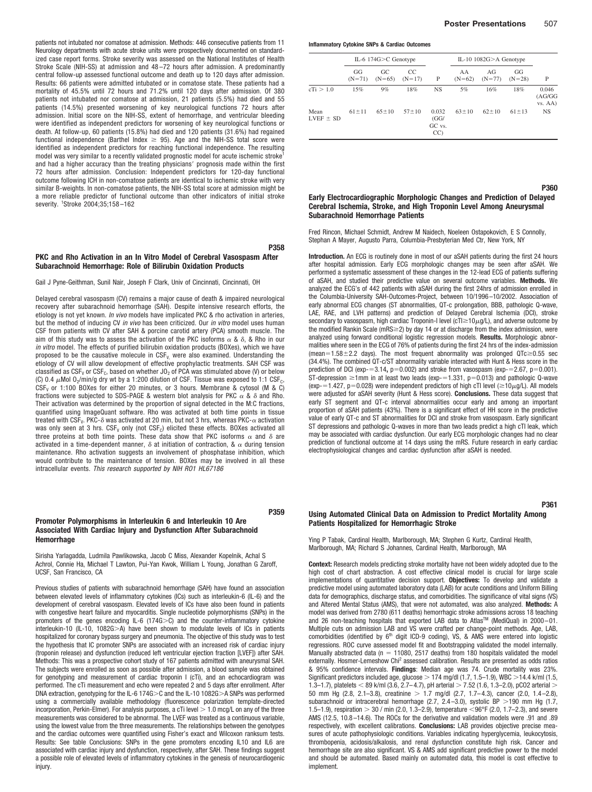patients not intubated nor comatose at admission. Methods: 446 consecutive patients from 11 Neurology departments with acute stroke units were prospectively documented on standardized case report forms. Stroke severity was assessed on the National Institutes of Health Stroke Scale (NIH-SS) at admission and 48–72 hours after admission. A predominantly central follow-up assessed functional outcome and death up to 120 days after admission. Results: 66 patients were admitted intubated or in comatose state. These patients had a mortality of 45.5% until 72 hours and 71.2% until 120 days after admission. Of 380 patients not intubated nor comatose at admission, 21 patients (5.5%) had died and 55 patients (14.5%) presented worsening of key neurological functions 72 hours after admission. Initial score on the NIH-SS, extent of hemorrhage, and ventricular bleeding were identified as independent predictors for worsening of key neurological functions or death. At follow-up, 60 patients (15.8%) had died and 120 patients (31.6%) had regained functional independence (Barthel Index  $\geq$  95). Age and the NIH-SS total score were identified as independent predictors for reaching functional independence. The resulting model was very similar to a recently validated prognostic model for acute ischemic stroke and had a higher accuracy than the treating physicians' prognosis made within the first 72 hours after admission. Conclusion: Independent predictors for 120-day functional outcome following ICH in non-comatose patients are identical to ischemic stroke with very similar B-weights. In non-comatose patients, the NIH-SS total score at admission might be a more reliable predictor of functional outcome than other indicators of initial stroke severity. <sup>1</sup>Stroke 2004;35;158-162

## **PKC and Rho Activation in an In Vitro Model of Cerebral Vasospasm After Subarachnoid Hemorrhage: Role of Bilirubin Oxidation Products**

**P358**

**P359**

#### Gail J Pyne-Geithman, Sunil Nair, Joseph F Clark, Univ of Cincinnati, Cincinnati, OH

Delayed cerebral vasospasm (CV) remains a major cause of death & impaired neurological recovery after subarachnoid hemorrhage (SAH). Despite intensive research efforts, the etiology is not yet known. *In vivo* models have implicated PKC & rho activation in arteries, but the method of inducing CV *in vivo* has been criticized. Our *in vitro* model uses human CSF from patients with CV after SAH & porcine carotid artery (PCA) smooth muscle. The aim of this study was to assess the activation of the PKC isoforms  $\alpha$  &  $\delta$ , & Rho in our *in vitro* model. The effects of purified bilirubin oxidation products (BOXes), which we have proposed to be the causative molecule in  $CSF_{V}$ , were also examined. Understanding the etiology of CV will allow development of effective prophylactic treatments. SAH CSF was classified as  $CSF_V$  or  $CSF_C$ , based on whether JO<sub>2</sub> of PCA was stimulated above (V) or below (C) 0.4  $\mu$ Mol O<sub>2</sub>/min/g dry wt by a 1:200 dilution of CSF. Tissue was exposed to 1:1 CSF<sub>C</sub>,  $CSF<sub>V</sub>$  or 1:100 BOXes for either 20 minutes, or 3 hours. Membrane & cytosol (M & C) fractions were subjected to SDS-PAGE & western blot analysis for PKC  $\alpha$  &  $\delta$  and Rho. Their activation was determined by the proportion of signal detected in the M:C fractions, quantified using ImageQuant software. Rho was activated at both time points in tissue treated with CSF<sub>V</sub>. PKC- $\delta$  was activated at 20 min, but not 3 hrs, whereas PKC- $\alpha$  activation was only seen at 3 hrs.  $CSF_v$  only (not  $CSF_c$ ) elicited these effects. BOXes activated all three proteins at both time points. These data show that PKC isoforms  $\alpha$  and  $\delta$  are activated in a time-dependent manner,  $\delta$  at initiation of contraction, &  $\alpha$  during tension maintenance. Rho activation suggests an involvement of phosphatase inhibition, which would contribute to the maintenance of tension. BOXes may be involved in all these intracellular events. *This research supported by NIH RO1 HL67186*

## **Promoter Polymorphisms in Interleukin 6 and Interleukin 10 Are Associated With Cardiac Injury and Dysfunction After Subarachnoid Hemorrhage**

Sirisha Yarlagadda, Ludmila Pawlikowska, Jacob C Miss, Alexander Kopelnik, Achal S Achrol, Connie Ha, Michael T Lawton, Pui-Yan Kwok, William L Young, Jonathan G Zaroff, UCSF, San Francisco, CA

Previous studies of patients with subarachnoid hemorrhage (SAH) have found an association between elevated levels of inflammatory cytokines (ICs) such as interleukin-6 (IL-6) and the development of cerebral vasospasm. Elevated levels of ICs have also been found in patients with congestive heart failure and myocarditis. Single nucleotide polymorphisms (SNPs) in the promoters of the genes encoding IL-6 (174G $>$ C) and the counter-inflammatory cytokine interleukin-10 (IL-10, 1082G>A) have been shown to modulate levels of ICs in patients hospitalized for coronary bypass surgery and pneumonia. The objective of this study was to test the hypothesis that IC promoter SNPs are associated with an increased risk of cardiac injury (troponin release) and dysfunction (reduced left ventricular ejection fraction [LVEF]) after SAH. Methods: This was a prospective cohort study of 167 patients admitted with aneurysmal SAH. The subjects were enrolled as soon as possible after admission, a blood sample was obtained for genotyping and measurement of cardiac troponin I (cTi), and an echocardiogram was performed. The cTi measurement and echo were repeated 2 and 5 days after enrollment. After DNA extraction, genotyping for the IL-6 174G $>$ C and the IL-10 1082G $>$ A SNPs was performed using a commercially available methodology (fluorescence polarization template-directed incorporation, Perkin-Elmer). For analysis purposes, a cTi level  $> 1.0$  mcg/L on any of the three measurements was considered to be abnormal. The LVEF was treated as a continuous variable, using the lowest value from the three measurements. The relationships between the genotypes and the cardiac outcomes were quantified using Fisher's exact and Wilcoxon ranksum tests. Results: See table Conclusions: SNPs in the gene promoters encoding IL10 and IL6 are associated with cardiac injury and dysfunction, respectively, after SAH. These findings suggest a possible role of elevated levels of inflammatory cytokines in the genesis of neurocardiogenic iniury.

**Inflammatory Cytokine SNPs & Cardiac Outcomes**

|                       | IL-6 174 $G > C$ Genotype |                 |                 | IL-10 $1082G$ > A Genotype    |                |                 |                |                             |
|-----------------------|---------------------------|-----------------|-----------------|-------------------------------|----------------|-----------------|----------------|-----------------------------|
|                       | GG<br>$(N=71)$            | GC.<br>$(N=65)$ | CC.<br>$(N=17)$ | P                             | AA<br>$(N=62)$ | AGr<br>$(N=77)$ | GG<br>$(N=28)$ | P                           |
| cTi > 1.0             | 15%                       | 9%              | 18%             | NS                            | 5%             | 16%             | 18%            | 0.046<br>(AG/GG)<br>vs. AA) |
| Mean<br>LVEF $\pm$ SD | $61 \pm 11$               | $65 \pm 10$     | $57 + 10$       | 0.032<br>(GG)<br>GC vs.<br>CC | $63 \pm 10$    | $62 \pm 10$     | $61 \pm 13$    | <b>NS</b>                   |

## **P360 Early Electrocardiographic Morphologic Changes and Prediction of Delayed Cerebral Ischemia, Stroke, and High Troponin Level Among Aneurysmal Subarachnoid Hemorrhage Patients**

Fred Rincon, Michael Schmidt, Andrew M Naidech, Noeleen Ostapokovich, E S Connolly, Stephan A Mayer, Augusto Parra, Columbia-Presbyterian Med Ctr, New York, NY

**Introduction.** An ECG is routinely done in most of our aSAH patients during the first 24 hours after hospital admission. Early ECG morphologic changes may be seen after aSAH. We performed a systematic assessment of these changes in the 12-lead ECG of patients suffering of aSAH, and studied their predictive value on several outcome variables. **Methods.** We analyzed the ECG's of 442 patients with aSAH during the first 24hrs of admission enrolled in the Columbia-University SAH-Outcomes-Project, between 10/1996–10/2002. Association of early abnormal ECG changes (ST abnormalities, QT-c prolongation, BBB, pathologic Q-wave, LAE, RAE, and LVH patterns) and prediction of Delayed Cerebral Ischemia (DCI), stroke secondary to vasospasm, high cardiac Troponin-I level (cTI $\geq$ 10 $\mu$ g/L), and adverse outcome by the modified Rankin Scale (mRS $\geq$ 2) by day 14 or at discharge from the index admission, were analyzed using forward conditional logistic regression models. **Results.** Morphologic abnormalities where seen in the ECG of 76% of patients during the first 24 hrs of the index-admission (mean=1.58 $\pm$ 2.2 days). The most frequent abnormality was prolonged QTc $\geq$ 0.55 sec (34.4%). The combined QT-c/ST abnormality variable interacted with Hunt & Hess score in the prediction of DCI ( $exp = 3.14$ ,  $p = 0.002$ ) and stroke from vasospasm ( $exp = 2.67$ ,  $p = 0.001$ ). ST-depression  $\geq$ 1mm in at least two leads (exp-=1.331, p=0.013) and pathologic Q-wave (exp-=1.427, p=0.028) were independent predictors of high cTI level ( $\geq$ 10 $\mu$ g/L). All models were adjusted for aSAH severity (Hunt & Hess score). **Conclusions.** These data suggest that early ST segment and QT-c interval abnormalities occur early and among an important proportion of aSAH patients (43%). There is a significant effect of HH score in the predictive value of early QT-c and ST abnormalities for DCI and stroke from vasospasm. Early significant ST depressions and pathologic Q-waves in more than two leads predict a high cTI leak, which may be associated with cardiac dysfunction. Our early ECG morphologic changes had no clear prediction of functional outcome at 14 days using the mRS. Future research in early cardiac electrophysiological changes and cardiac dysfunction after aSAH is needed.

#### **P361**

## **Using Automated Clinical Data on Admission to Predict Mortality Among Patients Hospitalized for Hemorrhagic Stroke**

Ying P Tabak, Cardinal Health, Marlborough, MA; Stephen G Kurtz, Cardinal Health, Marlborough, MA; Richard S Johannes, Cardinal Health, Marlborough, MA

**Context:** Research models predicting stroke mortality have not been widely adopted due to the high cost of chart abstraction. A cost effective clinical model is crucial for large scale implementations of quantitative decision support. **Objectives:** To develop and validate a predictive model using automated laboratory data (LAB) for acute conditions and Uniform Billing data for demographics, discharge status, and comorbidities. The significance of vital signs (VS) and Altered Mental Status (AMS), that were not automated, was also analyzed. **Methods:** A model was derived from 2780 (611 deaths) hemorrhagic stroke admissions across 18 teaching and 26 non-teaching hospitals that exported LAB data to Atlas™ (MediQual) in 2000-01. Multiple cuts on admission LAB and VS were crafted per change-point methods. Age, LAB, comorbidities (identified by  $6<sup>th</sup>$  digit ICD-9 coding), VS, & AMS were entered into logistic regressions. ROC curve assessed model fit and Bootstrapping validated the model internally. Manually abstracted data ( $n = 11080$ , 2517 deaths) from 180 hospitals validated the model externally. Hosmer-Lemeshow Chi<sup>2</sup> assessed calibration. Results are presented as odds ratios & 95% confidence intervals. **Findings**: Median age was 74. Crude mortality was 23%. Significant predictors included age, glucose  $>$  174 mg/dl (1.7, 1.5–1.9), WBC  $>$  14.4 k/ml (1.5, 1.3-1.7), platelets < 89 k/ml (3.6, 2.7-4.7), pH arterial > 7.52 (1.6, 1.3-2.0), pCO2 arterial > 50 mm Hg (2.8, 2.1–3.8), creatinine  $> 1.7$  mg/dl (2.7, 1.7–4.3), cancer (2.0, 1.4–2.8), subarachnoid or intracerebral hemorrhage (2.7, 2.4-3.0), systolic BP  $>$  190 mm Hg (1.7, 1.5–1.9), respiration  $> 30$  / min (2.0, 1.3–2.9), temperature <96°F (2.0, 1.7–2.3), and severe AMS (12.5, 10.8–14.6). The ROCs for the derivative and validation models were .91 and .89 respectively, with excellent calibrations. **Conclusions:** LAB provides objective precise measures of acute pathophysiologic conditions. Variables indicating hyperglycemia, leukocytosis, thrombopenia, acidosis/alkalosis, and renal dysfunction constitute high risk. Cancer and hemorrhage site are also significant. VS & AMS add significant predictive power to the model and should be automated. Based mainly on automated data, this model is cost effective to implement.